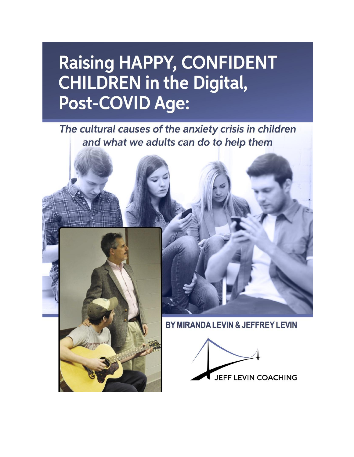# **Raising HAPPY, CONFIDENT CHILDREN in the Digital,** Post-COVID Age:

The cultural causes of the anxiety crisis in children and what we adults can do to help them



**JEFF LEVIN COACHING** 

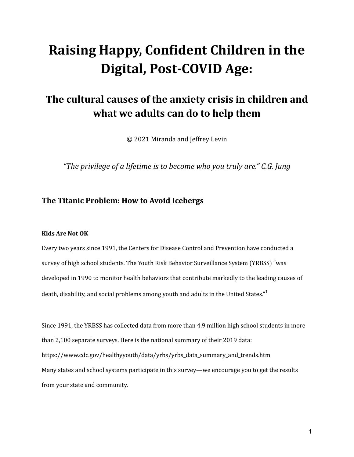# **Raising Happy, Confident Children in the Digital, Post-COVID Age:**

## **The cultural causes of the anxiety crisis in children and what we adults can do to help them**

© 2021 Miranda and Jeffrey Levin

*"The privilege of a lifetime is to become who you truly are." C.G. Jung*

### **The Titanic Problem: How to Avoid Icebergs**

#### **Kids Are Not OK**

Every two years since 1991, the Centers for Disease Control and Prevention have conducted a survey of high school students. The Youth Risk Behavior Surveillance System (YRBSS) "was developed in 1990 to monitor health behaviors that contribute markedly to the leading causes of death, disability, and social problems among youth and adults in the United States." $^1$ 

Since 1991, the YRBSS has collected data from more than 4.9 million high school students in more than 2,100 separate surveys. Here is the national summary of their 2019 data: https://www.cdc.gov/healthyyouth/data/yrbs/yrbs\_data\_summary\_and\_trends.htm Many states and school systems participate in this survey—we encourage you to get the results from your state and community.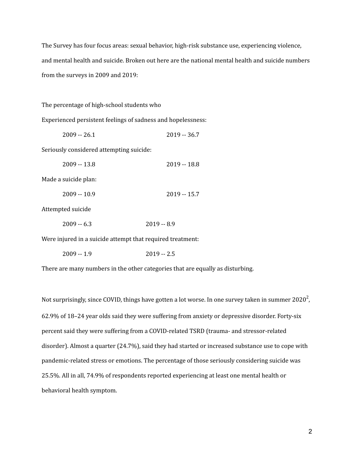The Survey has four focus areas: sexual behavior, high-risk substance use, experiencing violence, and mental health and suicide. Broken out here are the national mental health and suicide numbers from the surveys in 2009 and 2019:

The percentage of high-school students who

Experienced persistent feelings of sadness and hopelessness:

| $2009 - 26.1$                            | $2019 - 36.7$ |
|------------------------------------------|---------------|
| Seriously considered attempting suicide: |               |
| $2009 - 13.8$                            | 2019 -- 18.8  |
| Made a suicide plan:                     |               |
| $2009 - 10.9$                            | $2019 - 15.7$ |
| $1+1$                                    |               |

Attempted suicide

| $2009 - 6.3$ | $2019 - 8.9$ |  |
|--------------|--------------|--|
|--------------|--------------|--|

Were injured in a suicide attempt that required treatment:

2009 -- 1.9 2019 -- 2.5

There are many numbers in the other categories that are equally as disturbing.

Not surprisingly, since COVID, things have gotten a lot worse. In one survey taken in summer 2020 $^2$ , 62.9% of 18–24 year olds said they were suffering from anxiety or depressive disorder. Forty-six percent said they were suffering from a COVID-related TSRD (trauma- and stressor-related disorder). Almost a quarter (24.7%), said they had started or increased substance use to cope with pandemic-related stress or emotions. The percentage of those seriously considering suicide was 25.5%. All in all, 74.9% of respondents reported experiencing at least one mental health or behavioral health symptom.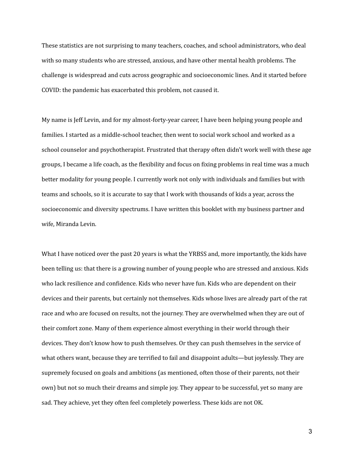These statistics are not surprising to many teachers, coaches, and school administrators, who deal with so many students who are stressed, anxious, and have other mental health problems. The challenge is widespread and cuts across geographic and socioeconomic lines. And it started before COVID: the pandemic has exacerbated this problem, not caused it.

My name is Jeff Levin, and for my almost-forty-year career, I have been helping young people and families. I started as a middle-school teacher, then went to social work school and worked as a school counselor and psychotherapist. Frustrated that therapy often didn't work well with these age groups, I became a life coach, as the flexibility and focus on fixing problems in real time was a much better modality for young people. I currently work not only with individuals and families but with teams and schools, so it is accurate to say that I work with thousands of kids a year, across the socioeconomic and diversity spectrums. I have written this booklet with my business partner and wife, Miranda Levin.

What I have noticed over the past 20 years is what the YRBSS and, more importantly, the kids have been telling us: that there is a growing number of young people who are stressed and anxious. Kids who lack resilience and confidence. Kids who never have fun. Kids who are dependent on their devices and their parents, but certainly not themselves. Kids whose lives are already part of the rat race and who are focused on results, not the journey. They are overwhelmed when they are out of their comfort zone. Many of them experience almost everything in their world through their devices. They don't know how to push themselves. Or they can push themselves in the service of what others want, because they are terrified to fail and disappoint adults—but joylessly. They are supremely focused on goals and ambitions (as mentioned, often those of their parents, not their own) but not so much their dreams and simple joy. They appear to be successful, yet so many are sad. They achieve, yet they often feel completely powerless. These kids are not OK.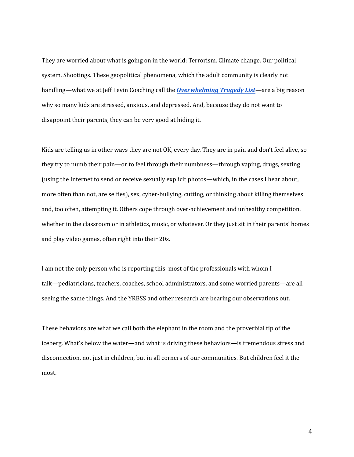They are worried about what is going on in the world: Terrorism. Climate change. Our political system. Shootings. These geopolitical phenomena, which the adult community is clearly not handling—what we at Jeff Levin Coaching call the *[Overwhelming](https://www.jefflevincoaching.com/the-overwhelming-tragedy-list/) Tragedy List*—are a big reason why so many kids are stressed, anxious, and depressed. And, because they do not want to disappoint their parents, they can be very good at hiding it.

Kids are telling us in other ways they are not OK, every day. They are in pain and don't feel alive, so they try to numb their pain—or to feel through their numbness—through vaping, drugs, sexting (using the Internet to send or receive sexually explicit photos—which, in the cases I hear about, more often than not, are selfies), sex, cyber-bullying, cutting, or thinking about killing themselves and, too often, attempting it. Others cope through over-achievement and unhealthy competition, whether in the classroom or in athletics, music, or whatever. Or they just sit in their parents' homes and play video games, often right into their 20s.

I am not the only person who is reporting this: most of the professionals with whom I talk—pediatricians, teachers, coaches, school administrators, and some worried parents—are all seeing the same things. And the YRBSS and other research are bearing our observations out.

These behaviors are what we call both the elephant in the room and the proverbial tip of the iceberg. What's below the water—and what is driving these behaviors—is tremendous stress and disconnection, not just in children, but in all corners of our communities. But children feel it the most.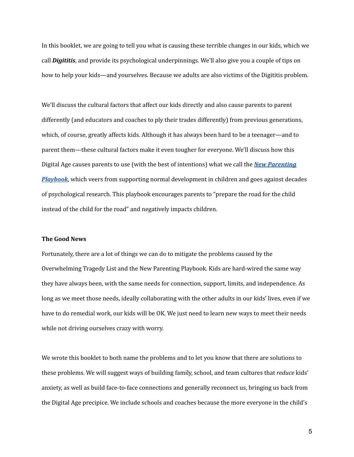In this booklet, we are going to tell you what is causing these terrible changes in our kids, which we call *Digititis*, and provide its psychological underpinnings. We'll also give you a couple of tips on how to help your kids—and yourselves. Because we adults are also victims of the Digititis problem.

We'll discuss the cultural factors that affect our kids directly and also cause parents to parent differently (and educators and coaches to ply their trades differently) from previous generations, which, of course, greatly affects kids. Although it has always been hard to be a teenager—and to parent them—these cultural factors make it even tougher for everyone. We'll discuss how this Digital Age causes parents to use (with the best of intentions) what we call the *New [Parenting](https://www.jefflevincoaching.com/failure-to-launch-young-adults/) [Playbook](https://www.jefflevincoaching.com/failure-to-launch-young-adults/)*, which veers from supporting normal development in children and goes against decades of psychological research. This playbook encourages parents to "prepare the road for the child instead of the child for the road" and negatively impacts children.

#### **The Good News**

Fortunately, there are a lot of things we can do to mitigate the problems caused by the Overwhelming Tragedy List and the New Parenting Playbook. Kids are hard-wired the same way they have always been, with the same needs for connection, support, limits, and independence. As long as we meet those needs, ideally collaborating with the other adults in our kids' lives, even if we have to do remedial work, our kids will be OK. We just need to learn new ways to meet their needs while not driving ourselves crazy with worry.

We wrote this booklet to both name the problems and to let you know that there are solutions to these problems. We will suggest ways of building family, school, and team cultures that *reduce* kids' anxiety, as well as build face-to-face connections and generally reconnect us, bringing us back from the Digital Age precipice. We include schools and coaches because the more everyone in the child's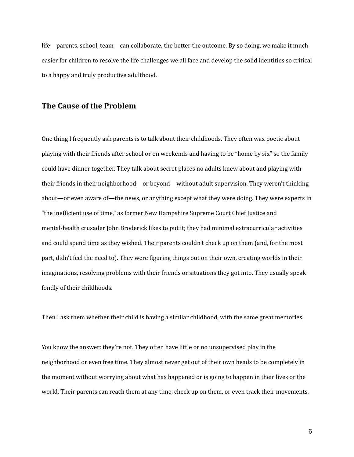life—parents, school, team—can collaborate, the better the outcome. By so doing, we make it much easier for children to resolve the life challenges we all face and develop the solid identities so critical to a happy and truly productive adulthood.

#### **The Cause of the Problem**

One thing I frequently ask parents is to talk about their childhoods. They often wax poetic about playing with their friends after school or on weekends and having to be "home by six" so the family could have dinner together. They talk about secret places no adults knew about and playing with their friends in their neighborhood—or beyond—without adult supervision. They weren't thinking about—or even aware of—the news, or anything except what they were doing. They were experts in "the inefficient use of time," as former New Hampshire Supreme Court Chief Justice and mental-health crusader John Broderick likes to put it; they had minimal extracurricular activities and could spend time as they wished. Their parents couldn't check up on them (and, for the most part, didn't feel the need to). They were figuring things out on their own, creating worlds in their imaginations, resolving problems with their friends or situations they got into. They usually speak fondly of their childhoods.

Then I ask them whether their child is having a similar childhood, with the same great memories.

You know the answer: they're not. They often have little or no unsupervised play in the neighborhood or even free time. They almost never get out of their own heads to be completely in the moment without worrying about what has happened or is going to happen in their lives or the world. Their parents can reach them at any time, check up on them, or even track their movements.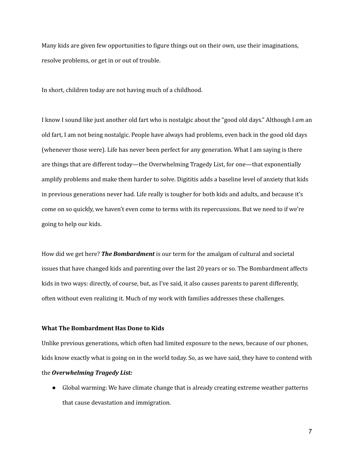Many kids are given few opportunities to figure things out on their own, use their imaginations, resolve problems, or get in or out of trouble.

In short, children today are not having much of a childhood.

I know I sound like just another old fart who is nostalgic about the "good old days." Although I *am* an old fart, I am not being nostalgic. People have always had problems, even back in the good old days (whenever those were). Life has never been perfect for any generation. What I am saying is there are things that are different today—the Overwhelming Tragedy List, for one—that exponentially amplify problems and make them harder to solve. Digititis adds a baseline level of anxiety that kids in previous generations never had. Life really is tougher for both kids and adults, and because it's come on so quickly, we haven't even come to terms with its repercussions. But we need to if we're going to help our kids.

How did we get here? *The Bombardment* is our term for the amalgam of cultural and societal issues that have changed kids and parenting over the last 20 years or so. The Bombardment affects kids in two ways: directly, of course, but, as I've said, it also causes parents to parent differently, often without even realizing it. Much of my work with families addresses these challenges.

#### **What The Bombardment Has Done to Kids**

Unlike previous generations, which often had limited exposure to the news, because of our phones, kids know exactly what is going on in the world today. So, as we have said, they have to contend with

#### the *Overwhelming Tragedy List:*

● Global warming: We have climate change that is already creating extreme weather patterns that cause devastation and immigration.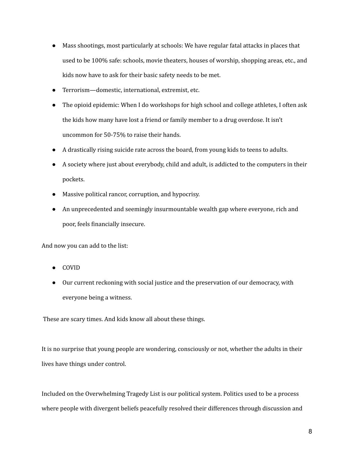- Mass shootings, most particularly at schools: We have regular fatal attacks in places that used to be 100% safe: schools, movie theaters, houses of worship, shopping areas, etc., and kids now have to ask for their basic safety needs to be met.
- Terrorism—domestic, international, extremist, etc.
- The opioid epidemic: When I do workshops for high school and college athletes, I often ask the kids how many have lost a friend or family member to a drug overdose. It isn't uncommon for 50-75% to raise their hands.
- A drastically rising suicide rate across the board, from young kids to teens to adults.
- A society where just about everybody, child and adult, is addicted to the computers in their pockets.
- Massive political rancor, corruption, and hypocrisy.
- An unprecedented and seemingly insurmountable wealth gap where everyone, rich and poor, feels financially insecure.

And now you can add to the list:

- COVID
- Our current reckoning with social justice and the preservation of our democracy, with everyone being a witness.

These are scary times. And kids know all about these things.

It is no surprise that young people are wondering, consciously or not, whether the adults in their lives have things under control.

Included on the Overwhelming Tragedy List is our political system. Politics used to be a process where people with divergent beliefs peacefully resolved their differences through discussion and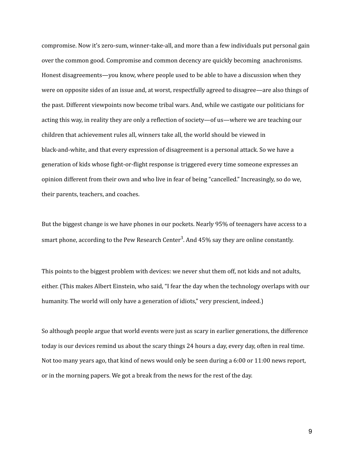compromise. Now it's zero-sum, winner-take-all, and more than a few individuals put personal gain over the common good. Compromise and common decency are quickly becoming anachronisms. Honest disagreements—you know, where people used to be able to have a discussion when they were on opposite sides of an issue and, at worst, respectfully agreed to disagree—are also things of the past. Different viewpoints now become tribal wars. And, while we castigate our politicians for acting this way, in reality they are only a reflection of society—of us—where we are teaching our children that achievement rules all, winners take all, the world should be viewed in black-and-white, and that every expression of disagreement is a personal attack. So we have a generation of kids whose fight-or-flight response is triggered every time someone expresses an opinion different from their own and who live in fear of being "cancelled." Increasingly, so do we, their parents, teachers, and coaches.

But the biggest change is we have phones in our pockets. Nearly 95% of teenagers have access to a smart phone, according to the Pew Research Center<sup>3</sup>. And 45% say they are online constantly.

This points to the biggest problem with devices: we never shut them off, not kids and not adults, either. (This makes Albert Einstein, who said, "I fear the day when the technology overlaps with our humanity. The world will only have a generation of idiots," very prescient, indeed.)

So although people argue that world events were just as scary in earlier generations, the difference today is our devices remind us about the scary things 24 hours a day, every day, often in real time. Not too many years ago, that kind of news would only be seen during a 6:00 or 11:00 news report, or in the morning papers. We got a break from the news for the rest of the day.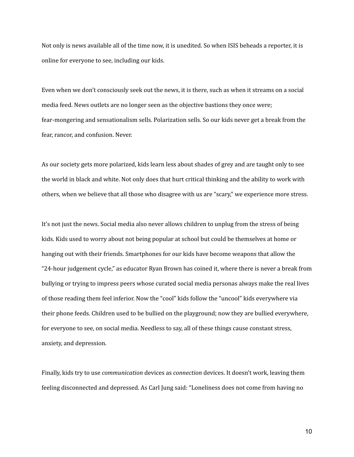Not only is news available all of the time now, it is unedited. So when ISIS beheads a reporter, it is online for everyone to see, including our kids.

Even when we don't consciously seek out the news, it is there, such as when it streams on a social media feed. News outlets are no longer seen as the objective bastions they once were; fear-mongering and sensationalism sells. Polarization sells. So our kids never get a break from the fear, rancor, and confusion. Never.

As our society gets more polarized, kids learn less about shades of grey and are taught only to see the world in black and white. Not only does that hurt critical thinking and the ability to work with others, when we believe that all those who disagree with us are "scary," we experience more stress.

It's not just the news. Social media also never allows children to unplug from the stress of being kids. Kids used to worry about not being popular at school but could be themselves at home or hanging out with their friends. Smartphones for our kids have become weapons that allow the "24-hour judgement cycle," as educator Ryan Brown has coined it, where there is never a break from bullying or trying to impress peers whose curated social media personas always make the real lives of those reading them feel inferior. Now the "cool" kids follow the "uncool" kids everywhere via their phone feeds. Children used to be bullied on the playground; now they are bullied everywhere, for everyone to see, on social media. Needless to say, all of these things cause constant stress, anxiety, and depression.

Finally, kids try to use *communication* devices as *connection* devices. It doesn't work, leaving them feeling disconnected and depressed. As Carl Jung said: "Loneliness does not come from having no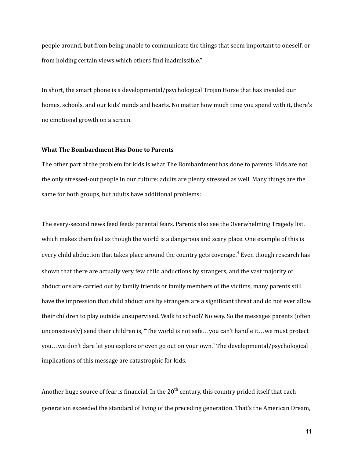people around, but from being unable to communicate the things that seem important to oneself, or from holding certain views which others find inadmissible."

In short, the smart phone is a developmental/psychological Trojan Horse that has invaded our homes, schools, and our kids' minds and hearts. No matter how much time you spend with it, there's no emotional growth on a screen.

#### **What The Bombardment Has Done to Parents**

The other part of the problem for kids is what The Bombardment has done to parents. Kids are not the only stressed-out people in our culture: adults are plenty stressed as well. Many things are the same for both groups, but adults have additional problems:

The every-second news feed feeds parental fears. Parents also see the Overwhelming Tragedy list, which makes them feel as though the world is a dangerous and scary place. One example of this is every child abduction that takes place around the country gets coverage.<sup>4</sup> Even though research has shown that there are actually very few child abductions by strangers, and the vast majority of abductions are carried out by family friends or family members of the victims, many parents still have the impression that child abductions by strangers are a significant threat and do not ever allow their children to play outside unsupervised. Walk to school? No way. So the messages parents (often unconsciously) send their children is, "The world is not safe…you can't handle it…we must protect you…we don't dare let you explore or even go out on your own." The developmental/psychological implications of this message are catastrophic for kids.

Another huge source of fear is financial. In the 20 $^{\text{th}}$  century, this country prided itself that each generation exceeded the standard of living of the preceding generation. That's the American Dream,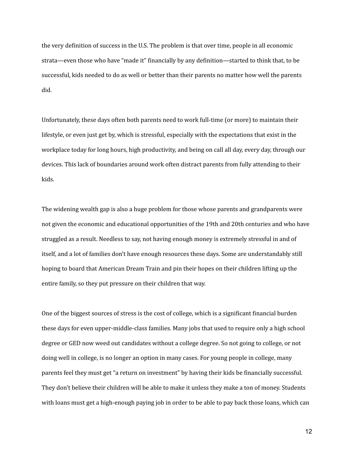the very definition of success in the U.S. The problem is that over time, people in all economic strata—even those who have "made it" financially by any definition—started to think that, to be successful, kids needed to do as well or better than their parents no matter how well the parents did.

Unfortunately, these days often both parents need to work full-time (or more) to maintain their lifestyle, or even just get by, which is stressful, especially with the expectations that exist in the workplace today for long hours, high productivity, and being on call all day, every day, through our devices. This lack of boundaries around work often distract parents from fully attending to their kids.

The widening wealth gap is also a huge problem for those whose parents and grandparents were not given the economic and educational opportunities of the 19th and 20th centuries and who have struggled as a result. Needless to say, not having enough money is extremely stressful in and of itself, and a lot of families don't have enough resources these days. Some are understandably still hoping to board that American Dream Train and pin their hopes on their children lifting up the entire family, so they put pressure on their children that way.

One of the biggest sources of stress is the cost of college, which is a significant financial burden these days for even upper-middle-class families. Many jobs that used to require only a high school degree or GED now weed out candidates without a college degree. So not going to college, or not doing well in college, is no longer an option in many cases. For young people in college, many parents feel they must get "a return on investment" by having their kids be financially successful. They don't believe their children will be able to make it unless they make a ton of money. Students with loans must get a high-enough paying job in order to be able to pay back those loans, which can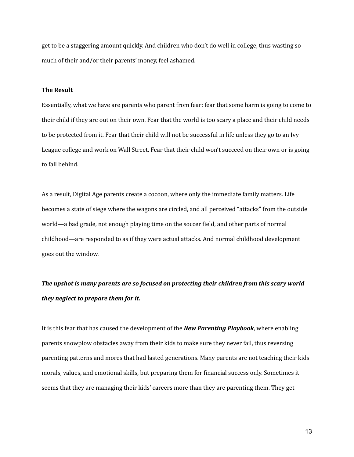get to be a staggering amount quickly. And children who don't do well in college, thus wasting so much of their and/or their parents' money, feel ashamed.

#### **The Result**

Essentially, what we have are parents who parent from fear: fear that some harm is going to come to their child if they are out on their own. Fear that the world is too scary a place and their child needs to be protected from it. Fear that their child will not be successful in life unless they go to an Ivy League college and work on Wall Street. Fear that their child won't succeed on their own or is going to fall behind.

As a result, Digital Age parents create a cocoon, where only the immediate family matters. Life becomes a state of siege where the wagons are circled, and all perceived "attacks" from the outside world—a bad grade, not enough playing time on the soccer field, and other parts of normal childhood—are responded to as if they were actual attacks. And normal childhood development goes out the window.

## *The upshot is many parents are so focused on protecting their children from this scary world they neglect to prepare them for it.*

It is this fear that has caused the development of the *New Parenting Playbook*, where enabling parents snowplow obstacles away from their kids to make sure they never fail, thus reversing parenting patterns and mores that had lasted generations. Many parents are not teaching their kids morals, values, and emotional skills, but preparing them for financial success only. Sometimes it seems that they are managing their kids' careers more than they are parenting them. They get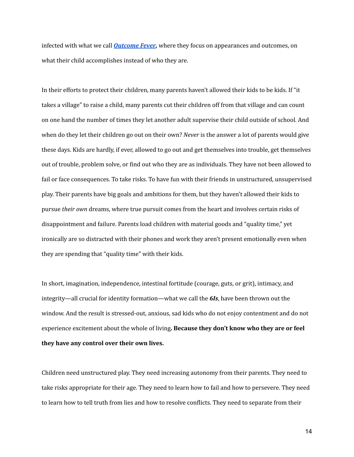infected with what we call *[Outcome](https://www.jefflevincoaching.com/opiates-outcome-fever/) Fever,* where they focus on appearances and outcomes, on what their child accomplishes instead of who they are.

In their efforts to protect their children, many parents haven't allowed their kids to be kids. If "it takes a village" to raise a child, many parents cut their children off from that village and can count on one hand the number of times they let another adult supervise their child outside of school. And when do they let their children go out on their own? *Never* is the answer a lot of parents would give these days. Kids are hardly, if ever, allowed to go out and get themselves into trouble, get themselves out of trouble, problem solve, or find out who they are as individuals. They have not been allowed to fail or face consequences. To take risks. To have fun with their friends in unstructured, unsupervised play. Their parents have big goals and ambitions for them, but they haven't allowed their kids to pursue *their own* dreams, where true pursuit comes from the heart and involves certain risks of disappointment and failure. Parents load children with material goods and "quality time," yet ironically are so distracted with their phones and work they aren't present emotionally even when they are spending that "quality time" with their kids.

In short, imagination, independence, intestinal fortitude (courage, guts, or grit), intimacy, and integrity—all crucial for identity formation—what we call the *6Is*, have been thrown out the window. And the result is stressed-out, anxious, sad kids who do not enjoy contentment and do not experience excitement about the whole of living**. Because they don't know who they are or feel they have any control over their own lives.**

Children need unstructured play. They need increasing autonomy from their parents. They need to take risks appropriate for their age. They need to learn how to fail and how to persevere. They need to learn how to tell truth from lies and how to resolve conflicts. They need to separate from their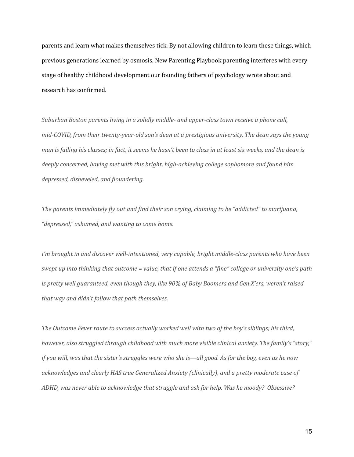parents and learn what makes themselves tick. By not allowing children to learn these things, which previous generations learned by osmosis, New Parenting Playbook parenting interferes with every stage of healthy childhood development our founding fathers of psychology wrote about and research has confirmed.

*Suburban Boston parents living in a solidly middle- and upper-class town receive a phone call, mid-COVID, from their twenty-year-old son's dean at a prestigious university. The dean says the young* man is failing his classes; in fact, it seems he hasn't been to class in at least six weeks, and the dean is *deeply concerned, having met with this bright, high-achieving college sophomore and found him depressed, disheveled, and floundering.*

*The parents immediately fly out and find their son crying, claiming to be "addicted" to marijuana, "depressed," ashamed, and wanting to come home.*

*I'm brought in and discover well-intentioned, very capable, bright middle-class parents who have been* swept up into thinking that outcome = value, that if one attends a "fine" college or university one's path *is pretty well guaranteed, even though they, like 90% of Baby Boomers and Gen X'ers, weren't raised that way and didn't follow that path themselves.*

*The Outcome Fever route to success actually worked well with two of the boy's siblings; his third, however, also struggled through childhood with much more visible clinical anxiety. The family's "story,"* if you will, was that the sister's struggles were who she is—all good. As for the boy, even as he now *acknowledges and clearly HAS true Generalized Anxiety (clinically), and a pretty moderate case of ADHD, was never able to acknowledge that struggle and ask for help. Was he moody? Obsessive?*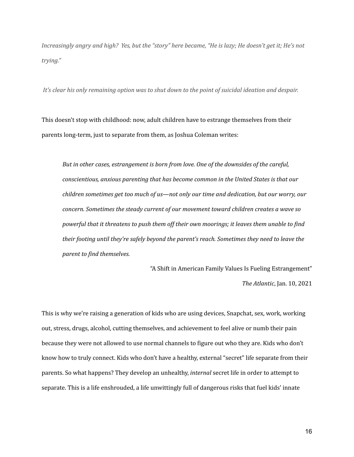Increasingly angry and high? Yes, but the "story" here became, "He is lazy; He doesn't get it; He's not *trying."*

It's clear his only remaining option was to shut down to the point of suicidal ideation and despair.

This doesn't stop with childhood: now, adult children have to estrange themselves from their parents long-term, just to separate from them, as Joshua Coleman writes:

*But in other cases, estrangement is born from love. One of the downsides of the careful, conscientious, anxious parenting that has become common in the United States is that our children sometimes get too much of us—not only our time and dedication, but our worry, our concern. Sometimes the steady current of our movement toward children creates a wave so powerful that it threatens to push them of their own moorings; it leaves them unable to find their footing until they're safely beyond the parent's reach. Sometimes they need to leave the parent to find themselves.*

> "A Shift in American Family Values Is Fueling Estrangement" *The Atlantic*, Jan. 10, 2021

This is why we're raising a generation of kids who are using devices, Snapchat, sex, work, working out, stress, drugs, alcohol, cutting themselves, and achievement to feel alive or numb their pain because they were not allowed to use normal channels to figure out who they are. Kids who don't know how to truly connect. Kids who don't have a healthy, external "secret" life separate from their parents. So what happens? They develop an unhealthy, *internal* secret life in order to attempt to separate. This is a life enshrouded, a life unwittingly full of dangerous risks that fuel kids' innate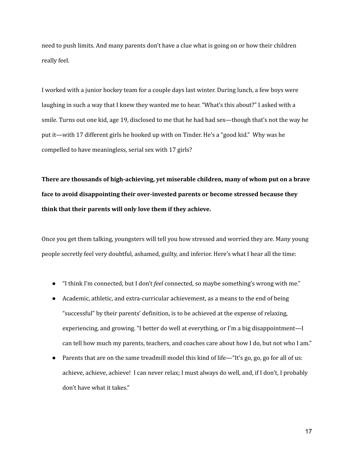need to push limits. And many parents don't have a clue what is going on or how their children really feel.

I worked with a junior hockey team for a couple days last winter. During lunch, a few boys were laughing in such a way that I knew they wanted me to hear. "What's this about?" I asked with a smile. Turns out one kid, age 19, disclosed to me that he had had sex—though that's not the way he put it—with 17 different girls he hooked up with on Tinder. He's a "good kid." Why was he compelled to have meaningless, serial sex with 17 girls?

**There are thousands of high-achieving, yet miserable children, many of whom put on a brave face to avoid disappointing their over-invested parents or become stressed because they think that their parents will only love them if they achieve.**

Once you get them talking, youngsters will tell you how stressed and worried they are. Many young people secretly feel very doubtful, ashamed, guilty, and inferior. Here's what I hear all the time:

- "I think I'm connected, but I don't *feel* connected, so maybe something's wrong with me."
- Academic, athletic, and extra-curricular achievement, as a means to the end of being "successful" by their parents' definition, is to be achieved at the expense of relaxing, experiencing, and growing. "I better do well at everything, or I'm a big disappointment—I can tell how much my parents, teachers, and coaches care about how I do, but not who I am."
- Parents that are on the same treadmill model this kind of life—"It's go, go, go for all of us: achieve, achieve, achieve! I can never relax; I must always do well, and, if I don't, I probably don't have what it takes."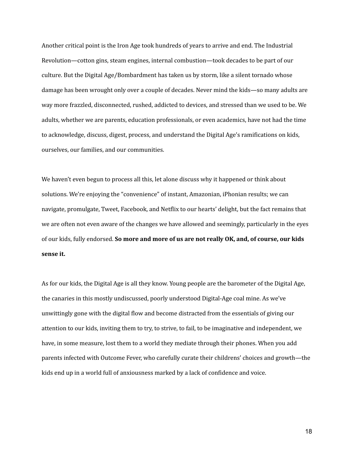Another critical point is the Iron Age took hundreds of years to arrive and end. The Industrial Revolution—cotton gins, steam engines, internal combustion—took decades to be part of our culture. But the Digital Age/Bombardment has taken us by storm, like a silent tornado whose damage has been wrought only over a couple of decades. Never mind the kids—so many adults are way more frazzled, disconnected, rushed, addicted to devices, and stressed than we used to be. We adults, whether we are parents, education professionals, or even academics, have not had the time to acknowledge, discuss, digest, process, and understand the Digital Age's ramifications on kids, ourselves, our families, and our communities.

We haven't even begun to process all this, let alone discuss why it happened or think about solutions. We're enjoying the "convenience" of instant, Amazonian, iPhonian results; we can navigate, promulgate, Tweet, Facebook, and Netflix to our hearts' delight, but the fact remains that we are often not even aware of the changes we have allowed and seemingly, particularly in the eyes of our kids, fully endorsed. **So more and more of us are not really OK, and, of course, our kids sense it.**

As for our kids, the Digital Age is all they know. Young people are the barometer of the Digital Age, the canaries in this mostly undiscussed, poorly understood Digital-Age coal mine. As we've unwittingly gone with the digital flow and become distracted from the essentials of giving our attention to our kids, inviting them to try, to strive, to fail, to be imaginative and independent, we have, in some measure, lost them to a world they mediate through their phones. When you add parents infected with Outcome Fever, who carefully curate their childrens' choices and growth—the kids end up in a world full of anxiousness marked by a lack of confidence and voice.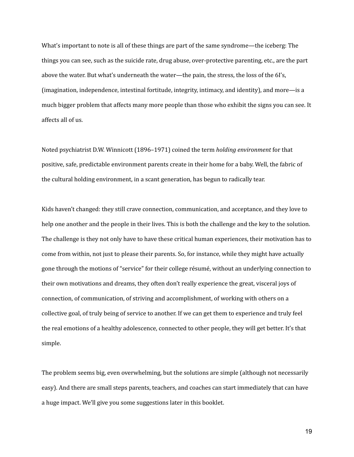What's important to note is all of these things are part of the same syndrome—the iceberg: The things you can see, such as the suicide rate, drug abuse, over-protective parenting, etc., are the part above the water. But what's underneath the water—the pain, the stress, the loss of the 6I's, (imagination, independence, intestinal fortitude, integrity, intimacy, and identity), and more—is a much bigger problem that affects many more people than those who exhibit the signs you can see. It affects all of us.

Noted psychiatrist D.W. Winnicott (1896–1971) coined the term *holding environment* for that positive, safe, predictable environment parents create in their home for a baby. Well, the fabric of the cultural holding environment, in a scant generation, has begun to radically tear.

Kids haven't changed: they still crave connection, communication, and acceptance, and they love to help one another and the people in their lives. This is both the challenge and the key to the solution. The challenge is they not only have to have these critical human experiences, their motivation has to come from within, not just to please their parents. So, for instance, while they might have actually gone through the motions of "service" for their college résumé, without an underlying connection to their own motivations and dreams, they often don't really experience the great, visceral joys of connection, of communication, of striving and accomplishment, of working with others on a collective goal, of truly being of service to another. If we can get them to experience and truly feel the real emotions of a healthy adolescence, connected to other people, they will get better. It's that simple.

The problem seems big, even overwhelming, but the solutions are simple (although not necessarily easy). And there are small steps parents, teachers, and coaches can start immediately that can have a huge impact. We'll give you some suggestions later in this booklet.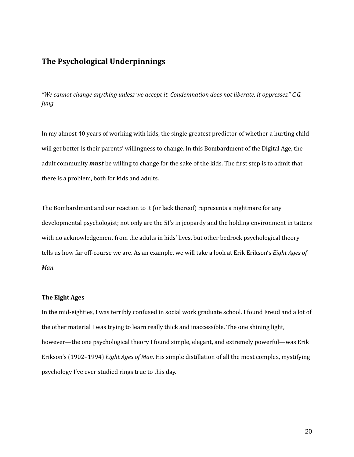### **The Psychological Underpinnings**

*"We cannot change anything unless we accept it. Condemnation does not liberate, it oppresses." C.G. Jung*

In my almost 40 years of working with kids, the single greatest predictor of whether a hurting child will get better is their parents' willingness to change. In this Bombardment of the Digital Age, the adult community *must* be willing to change for the sake of the kids. The first step is to admit that there is a problem, both for kids and adults.

The Bombardment and our reaction to it (or lack thereof) represents a nightmare for any developmental psychologist; not only are the 5I's in jeopardy and the holding environment in tatters with no acknowledgement from the adults in kids' lives, but other bedrock psychological theory tells us how far off-course we are. As an example, we will take a look at Erik Erikson's *Eight Ages of Man*.

#### **The Eight Ages**

In the mid-eighties, I was terribly confused in social work graduate school. I found Freud and a lot of the other material I was trying to learn really thick and inaccessible. The one shining light, however—the one psychological theory I found simple, elegant, and extremely powerful—was Erik Erikson's (1902–1994) *Eight Ages of Man*. His simple distillation of all the most complex, mystifying psychology I've ever studied rings true to this day.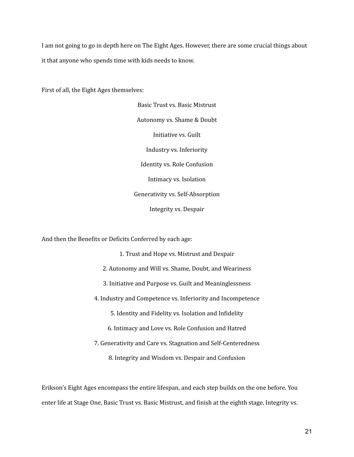I am not going to go in depth here on The Eight Ages. However, there are some crucial things about it that anyone who spends time with kids needs to know.

First of all, the Eight Ages themselves:

Basic Trust vs. Basic Mistrust Autonomy vs. Shame & Doubt Initiative vs. Guilt Industry vs. Inferiority Identity vs. Role Confusion Intimacy vs. Isolation Generativity vs. Self-Absorption Integrity vs. Despair

And then the Benefits or Deficits Conferred by each age:

1. Trust and Hope vs. Mistrust and Despair 2. Autonomy and Will vs. Shame, Doubt, and Weariness 3. Initiative and Purpose vs. Guilt and Meaninglessness 4. Industry and Competence vs. Inferiority and Incompetence 5. Identity and Fidelity vs. Isolation and Infidelity 6. Intimacy and Love vs. Role Confusion and Hatred 7. Generativity and Care vs. Stagnation and Self-Centeredness 8. Integrity and Wisdom vs. Despair and Confusion

Erikson's Eight Ages encompass the entire lifespan, and each step builds on the one before. You enter life at Stage One, Basic Trust vs. Basic Mistrust, and finish at the eighth stage, Integrity vs.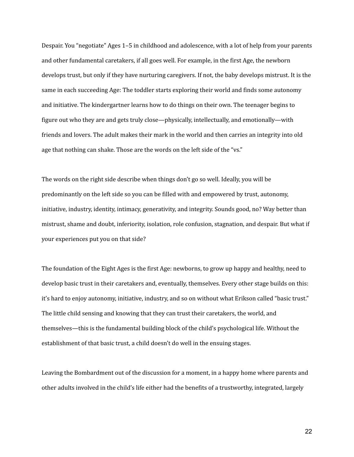Despair. You "negotiate" Ages 1–5 in childhood and adolescence, with a lot of help from your parents and other fundamental caretakers, if all goes well. For example, in the first Age, the newborn develops trust, but only if they have nurturing caregivers. If not, the baby develops mistrust. It is the same in each succeeding Age: The toddler starts exploring their world and finds some autonomy and initiative. The kindergartner learns how to do things on their own. The teenager begins to figure out who they are and gets truly close—physically, intellectually, and emotionally—with friends and lovers. The adult makes their mark in the world and then carries an integrity into old age that nothing can shake. Those are the words on the left side of the "vs."

The words on the right side describe when things don't go so well. Ideally, you will be predominantly on the left side so you can be filled with and empowered by trust, autonomy, initiative, industry, identity, intimacy, generativity, and integrity. Sounds good, no? Way better than mistrust, shame and doubt, inferiority, isolation, role confusion, stagnation, and despair. But what if your experiences put you on that side?

The foundation of the Eight Ages is the first Age: newborns, to grow up happy and healthy, need to develop basic trust in their caretakers and, eventually, themselves. Every other stage builds on this: it's hard to enjoy autonomy, initiative, industry, and so on without what Erikson called "basic trust." The little child sensing and knowing that they can trust their caretakers, the world, and themselves—this is the fundamental building block of the child's psychological life. Without the establishment of that basic trust, a child doesn't do well in the ensuing stages.

Leaving the Bombardment out of the discussion for a moment, in a happy home where parents and other adults involved in the child's life either had the benefits of a trustworthy, integrated, largely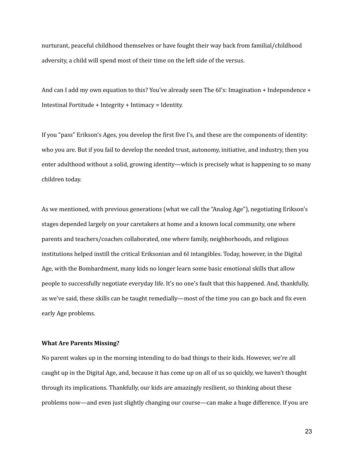nurturant, peaceful childhood themselves or have fought their way back from familial/childhood adversity, a child will spend most of their time on the left side of the versus.

And can I add my own equation to this? You've already seen The 6I's: Imagination + Independence + Intestinal Fortitude + Integrity + Intimacy = Identity.

If you "pass" Erikson's Ages, you develop the first five I's, and these are the components of identity: who you are. But if you fail to develop the needed trust, autonomy, initiative, and industry, then you enter adulthood without a solid, growing identity—which is precisely what is happening to so many children today.

As we mentioned, with previous generations (what we call the "Analog Age"), negotiating Erikson's stages depended largely on your caretakers at home and a known local community, one where parents and teachers/coaches collaborated, one where family, neighborhoods, and religious institutions helped instill the critical Eriksonian and 6I intangibles. Today, however, in the Digital Age, with the Bombardment, many kids no longer learn some basic emotional skills that allow people to successfully negotiate everyday life. It's no one's fault that this happened. And, thankfully, as we've said, these skills can be taught remedially—most of the time you can go back and fix even early Age problems.

#### **What Are Parents Missing?**

No parent wakes up in the morning intending to do bad things to their kids. However, we're all caught up in the Digital Age, and, because it has come up on all of us so quickly, we haven't thought through its implications. Thankfully, our kids are amazingly resilient, so thinking about these problems now—and even just slightly changing our course—can make a huge difference. If you are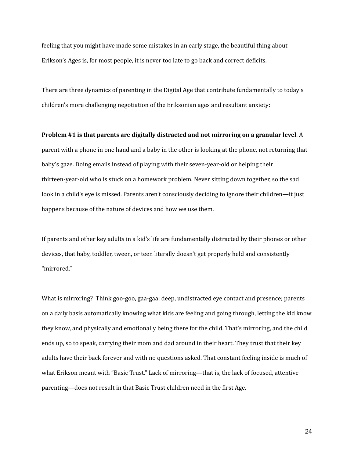feeling that you might have made some mistakes in an early stage, the beautiful thing about Erikson's Ages is, for most people, it is never too late to go back and correct deficits.

There are three dynamics of parenting in the Digital Age that contribute fundamentally to today's children's more challenging negotiation of the Eriksonian ages and resultant anxiety:

**Problem #1 is that parents are digitally distracted and not mirroring on a granular level**. A parent with a phone in one hand and a baby in the other is looking at the phone, not returning that baby's gaze. Doing emails instead of playing with their seven-year-old or helping their thirteen-year-old who is stuck on a homework problem. Never sitting down together, so the sad look in a child's eye is missed. Parents aren't consciously deciding to ignore their children—it just happens because of the nature of devices and how we use them.

If parents and other key adults in a kid's life are fundamentally distracted by their phones or other devices, that baby, toddler, tween, or teen literally doesn't get properly held and consistently "mirrored."

What is mirroring? Think goo-goo, gaa-gaa; deep, undistracted eye contact and presence; parents on a daily basis automatically knowing what kids are feeling and going through, letting the kid know they know, and physically and emotionally being there for the child. That's mirroring, and the child ends up, so to speak, carrying their mom and dad around in their heart. They trust that their key adults have their back forever and with no questions asked. That constant feeling inside is much of what Erikson meant with "Basic Trust." Lack of mirroring—that is, the lack of focused, attentive parenting—does not result in that Basic Trust children need in the first Age.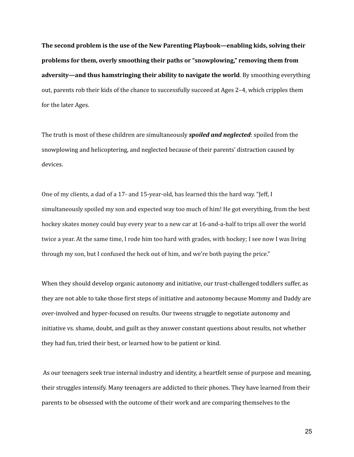**The second problem is the use of the New Parenting Playbook—enabling kids, solving their problems for them, overly smoothing their paths or "snowplowing," removing them from adversity—and thus hamstringing their ability to navigate the world**. By smoothing everything out, parents rob their kids of the chance to successfully succeed at Ages 2–4, which cripples them for the later Ages.

The truth is most of these children are simultaneously *spoiled and neglected*: spoiled from the snowplowing and helicoptering, and neglected because of their parents' distraction caused by devices.

One of my clients, a dad of a 17- and 15-year-old, has learned this the hard way. "Jeff, I simultaneously spoiled my son and expected way too much of him! He got everything, from the best hockey skates money could buy every year to a new car at 16-and-a-half to trips all over the world twice a year. At the same time, I rode him too hard with grades, with hockey; I see now I was living through my son, but I confused the heck out of him, and we're both paying the price."

When they should develop organic autonomy and initiative, our trust-challenged toddlers suffer, as they are not able to take those first steps of initiative and autonomy because Mommy and Daddy are over-involved and hyper-focused on results. Our tweens struggle to negotiate autonomy and initiative vs. shame, doubt, and guilt as they answer constant questions about results, not whether they had fun, tried their best, or learned how to be patient or kind.

As our teenagers seek true internal industry and identity, a heartfelt sense of purpose and meaning, their struggles intensify. Many teenagers are addicted to their phones. They have learned from their parents to be obsessed with the outcome of their work and are comparing themselves to the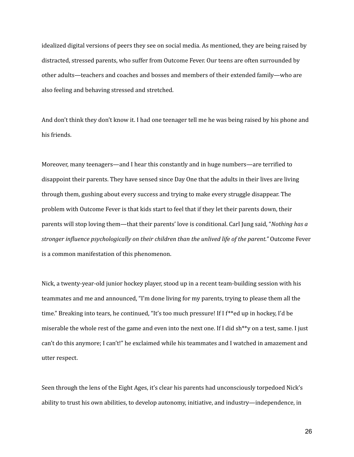idealized digital versions of peers they see on social media. As mentioned, they are being raised by distracted, stressed parents, who suffer from Outcome Fever. Our teens are often surrounded by other adults—teachers and coaches and bosses and members of their extended family—who are also feeling and behaving stressed and stretched.

And don't think they don't know it. I had one teenager tell me he was being raised by his phone and his friends.

Moreover, many teenagers—and I hear this constantly and in huge numbers—are terrified to disappoint their parents. They have sensed since Day One that the adults in their lives are living through them, gushing about every success and trying to make every struggle disappear. The problem with Outcome Fever is that kids start to feel that if they let their parents down, their parents will stop loving them—that their parents' love is conditional. Carl Jung said, "*Nothing has a stronger influence psychologically on their children than the unlived life of the parent."* Outcome Fever is a common manifestation of this phenomenon.

Nick, a twenty-year-old junior hockey player, stood up in a recent team-building session with his teammates and me and announced, "I'm done living for my parents, trying to please them all the time." Breaking into tears, he continued, "It's too much pressure! If I f\*\*ed up in hockey, I'd be miserable the whole rest of the game and even into the next one. If I did sh\*\*y on a test, same. I just can't do this anymore; I can't!" he exclaimed while his teammates and I watched in amazement and utter respect.

Seen through the lens of the Eight Ages, it's clear his parents had unconsciously torpedoed Nick's ability to trust his own abilities, to develop autonomy, initiative, and industry—independence, in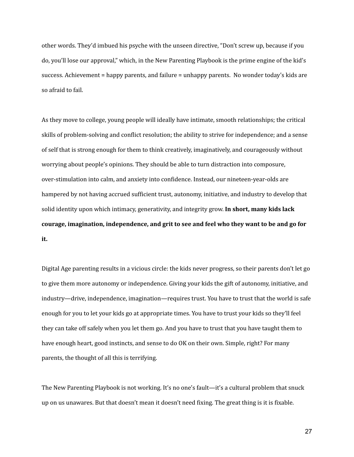other words. They'd imbued his psyche with the unseen directive, "Don't screw up, because if you do, you'll lose our approval," which, in the New Parenting Playbook is the prime engine of the kid's success. Achievement = happy parents, and failure = unhappy parents. No wonder today's kids are so afraid to fail.

As they move to college, young people will ideally have intimate, smooth relationships; the critical skills of problem-solving and conflict resolution; the ability to strive for independence; and a sense of self that is strong enough for them to think creatively, imaginatively, and courageously without worrying about people's opinions. They should be able to turn distraction into composure, over-stimulation into calm, and anxiety into confidence. Instead, our nineteen-year-olds are hampered by not having accrued sufficient trust, autonomy, initiative, and industry to develop that solid identity upon which intimacy, generativity, and integrity grow. **In short, many kids lack courage, imagination, independence, and grit to see and feel who they want to be and go for it.**

Digital Age parenting results in a vicious circle: the kids never progress, so their parents don't let go to give them more autonomy or independence. Giving your kids the gift of autonomy, initiative, and industry—drive, independence, imagination—requires trust. You have to trust that the world is safe enough for you to let your kids go at appropriate times. You have to trust your kids so they'll feel they can take off safely when you let them go. And you have to trust that you have taught them to have enough heart, good instincts, and sense to do OK on their own. Simple, right? For many parents, the thought of all this is terrifying.

The New Parenting Playbook is not working. It's no one's fault—it's a cultural problem that snuck up on us unawares. But that doesn't mean it doesn't need fixing. The great thing is it is fixable.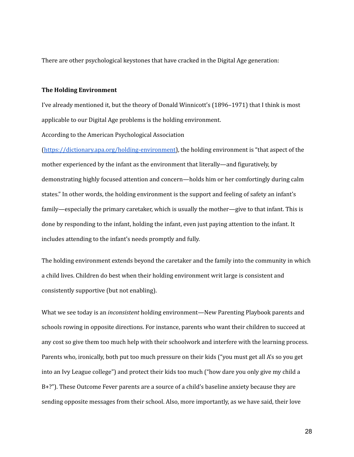There are other psychological keystones that have cracked in the Digital Age generation:

#### **The Holding Environment**

I've already mentioned it, but the theory of Donald Winnicott's (1896–1971) that I think is most applicable to our Digital Age problems is the holding environment.

According to the American Psychological Association

[\(https://dictionary.apa.org/holding-environment\)](https://dictionary.apa.org/holding-environment), the holding environment is "that aspect of the mother experienced by the infant as the environment that literally—and figuratively, by demonstrating highly focused attention and concern—holds him or her comfortingly during calm states." In other words, the holding environment is the support and feeling of safety an infant's family—especially the primary caretaker, which is usually the mother—give to that infant. This is done by responding to the infant, holding the infant, even just paying attention to the infant. It includes attending to the infant's needs promptly and fully.

The holding environment extends beyond the caretaker and the family into the community in which a child lives. Children do best when their holding environment writ large is consistent and consistently supportive (but not enabling).

What we see today is an *inconsistent* holding environment—New Parenting Playbook parents and schools rowing in opposite directions. For instance, parents who want their children to succeed at any cost so give them too much help with their schoolwork and interfere with the learning process. Parents who, ironically, both put too much pressure on their kids ("you must get all A's so you get into an Ivy League college") and protect their kids too much ("how dare you only give my child a B+?"). These Outcome Fever parents are a source of a child's baseline anxiety because they are sending opposite messages from their school. Also, more importantly, as we have said, their love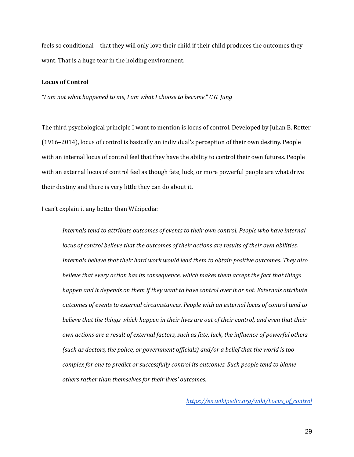feels so conditional—that they will only love their child if their child produces the outcomes they want. That is a huge tear in the holding environment.

#### **Locus of Control**

*"I am not what happened to me, I am what I choose to become." C.G. Jung*

The third psychological principle I want to mention is locus of control. Developed by Julian B. Rotter (1916–2014), locus of control is basically an individual's perception of their own destiny. People with an internal locus of control feel that they have the ability to control their own futures. People with an external locus of control feel as though fate, luck, or more powerful people are what drive their destiny and there is very little they can do about it.

I can't explain it any better than Wikipedia:

*Internals tend to attribute outcomes of events to their own control. People who have internal locus of control believe that the outcomes of their actions are results of their own abilities. Internals believe that their hard work would lead them to obtain positive outcomes. They also believe that every action has its consequence, which makes them accept the fact that things happen and it depends on them if they want to have control over it or not. Externals attribute outcomes of events to external circumstances. People with an external locus of control tend to believe that the things which happen in their lives are out of their control, and even that their own actions are a result of external factors, such as fate, luck, the influence of powerful others (such as doctors, the police, or government of icials) and/or a belief that the world is too complex for one to predict or successfully control its outcomes. Such people tend to blame others rather than themselves for their lives' outcomes.*

*[https://en.wikipedia.org/wiki/Locus\\_of\\_control](https://en.wikipedia.org/wiki/Locus_of_control)*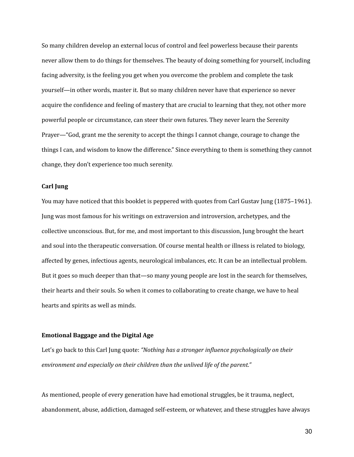So many children develop an external locus of control and feel powerless because their parents never allow them to do things for themselves. The beauty of doing something for yourself, including facing adversity, is the feeling you get when you overcome the problem and complete the task yourself—in other words, master it. But so many children never have that experience so never acquire the confidence and feeling of mastery that are crucial to learning that they, not other more powerful people or circumstance, can steer their own futures. They never learn the Serenity Prayer—"God, grant me the serenity to accept the things I cannot change, courage to change the things I can, and wisdom to know the difference." Since everything to them is something they cannot change, they don't experience too much serenity.

#### **Carl Jung**

You may have noticed that this booklet is peppered with quotes from Carl Gustav Jung (1875–1961). Jung was most famous for his writings on extraversion and introversion, archetypes, and the collective unconscious. But, for me, and most important to this discussion, Jung brought the heart and soul into the therapeutic conversation. Of course mental health or illness is related to biology, affected by genes, infectious agents, neurological imbalances, etc. It can be an intellectual problem. But it goes so much deeper than that—so many young people are lost in the search for themselves, their hearts and their souls. So when it comes to collaborating to create change, we have to heal hearts and spirits as well as minds.

#### **Emotional Baggage and the Digital Age**

Let's go back to this Carl Jung quote: *"Nothing has a stronger influence psychologically on their environment and especially on their children than the unlived life of the parent."*

As mentioned, people of every generation have had emotional struggles, be it trauma, neglect, abandonment, abuse, addiction, damaged self-esteem, or whatever, and these struggles have always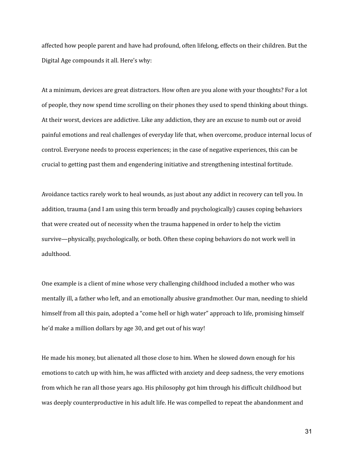affected how people parent and have had profound, often lifelong, effects on their children. But the Digital Age compounds it all. Here's why:

At a minimum, devices are great distractors. How often are you alone with your thoughts? For a lot of people, they now spend time scrolling on their phones they used to spend thinking about things. At their worst, devices are addictive. Like any addiction, they are an excuse to numb out or avoid painful emotions and real challenges of everyday life that, when overcome, produce internal locus of control. Everyone needs to process experiences; in the case of negative experiences, this can be crucial to getting past them and engendering initiative and strengthening intestinal fortitude.

Avoidance tactics rarely work to heal wounds, as just about any addict in recovery can tell you. In addition, trauma (and I am using this term broadly and psychologically) causes coping behaviors that were created out of necessity when the trauma happened in order to help the victim survive—physically, psychologically, or both. Often these coping behaviors do not work well in adulthood.

One example is a client of mine whose very challenging childhood included a mother who was mentally ill, a father who left, and an emotionally abusive grandmother. Our man, needing to shield himself from all this pain, adopted a "come hell or high water" approach to life, promising himself he'd make a million dollars by age 30, and get out of his way!

He made his money, but alienated all those close to him. When he slowed down enough for his emotions to catch up with him, he was afflicted with anxiety and deep sadness, the very emotions from which he ran all those years ago. His philosophy got him through his difficult childhood but was deeply counterproductive in his adult life. He was compelled to repeat the abandonment and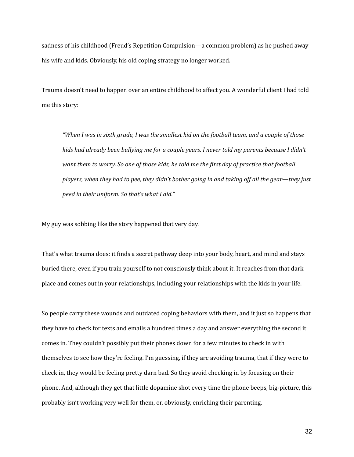sadness of his childhood (Freud's Repetition Compulsion—a common problem) as he pushed away his wife and kids. Obviously, his old coping strategy no longer worked.

Trauma doesn't need to happen over an entire childhood to affect you. A wonderful client I had told me this story:

"When I was in sixth grade, I was the smallest kid on the football team, and a couple of those *kids had already been bullying me for a couple years. I never told my parents because I didn't* want them to worry. So one of those kids, he told me the first day of practice that football *players, when they had to pee, they didn't bother going in and taking of all the gear—they just peed in their uniform. So that's what I did."*

My guy was sobbing like the story happened that very day.

That's what trauma does: it finds a secret pathway deep into your body, heart, and mind and stays buried there, even if you train yourself to not consciously think about it. It reaches from that dark place and comes out in your relationships, including your relationships with the kids in your life.

So people carry these wounds and outdated coping behaviors with them, and it just so happens that they have to check for texts and emails a hundred times a day and answer everything the second it comes in. They couldn't possibly put their phones down for a few minutes to check in with themselves to see how they're feeling. I'm guessing, if they are avoiding trauma, that if they were to check in, they would be feeling pretty darn bad. So they avoid checking in by focusing on their phone. And, although they get that little dopamine shot every time the phone beeps, big-picture, this probably isn't working very well for them, or, obviously, enriching their parenting.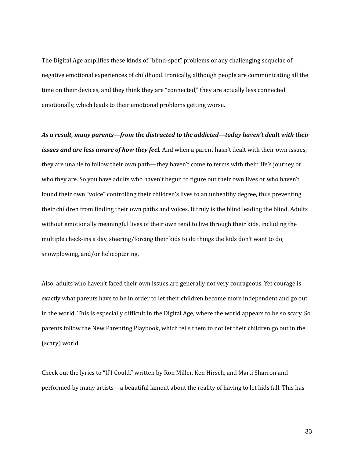The Digital Age amplifies these kinds of "blind-spot" problems or any challenging sequelae of negative emotional experiences of childhood. Ironically, although people are communicating all the time on their devices, and they think they are "connected," they are actually less connected emotionally, which leads to their emotional problems getting worse.

*As a result, many parents—from the distracted to the addicted—today haven't dealt with their issues and are less aware of how they feel.* And when a parent hasn't dealt with their own issues, they are unable to follow their own path—they haven't come to terms with their life's journey or who they are. So you have adults who haven't begun to figure out their own lives or who haven't found their own "voice" controlling their children's lives to an unhealthy degree, thus preventing their children from finding their own paths and voices. It truly is the blind leading the blind. Adults without emotionally meaningful lives of their own tend to live through their kids, including the multiple check-ins a day, steering/forcing their kids to do things the kids don't want to do, snowplowing, and/or helicoptering.

Also, adults who haven't faced their own issues are generally not very courageous. Yet courage is exactly what parents have to be in order to let their children become more independent and go out in the world. This is especially difficult in the Digital Age, where the world appears to be so scary. So parents follow the New Parenting Playbook, which tells them to not let their children go out in the (scary) world.

Check out the lyrics to "If I Could," written by Ron Miller, Ken Hirsch, and Marti Sharron and performed by many artists—a beautiful lament about the reality of having to let kids fall. This has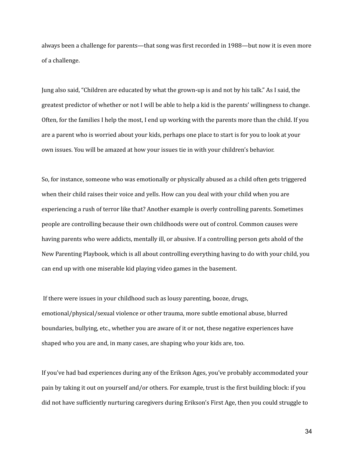always been a challenge for parents—that song was first recorded in 1988—but now it is even more of a challenge.

Jung also said, "Children are educated by what the grown-up is and not by his talk." As I said, the greatest predictor of whether or not I will be able to help a kid is the parents' willingness to change. Often, for the families I help the most, I end up working with the parents more than the child. If you are a parent who is worried about your kids, perhaps one place to start is for you to look at your own issues. You will be amazed at how your issues tie in with your children's behavior.

So, for instance, someone who was emotionally or physically abused as a child often gets triggered when their child raises their voice and yells. How can you deal with your child when you are experiencing a rush of terror like that? Another example is overly controlling parents. Sometimes people are controlling because their own childhoods were out of control. Common causes were having parents who were addicts, mentally ill, or abusive. If a controlling person gets ahold of the New Parenting Playbook, which is all about controlling everything having to do with your child, you can end up with one miserable kid playing video games in the basement.

If there were issues in your childhood such as lousy parenting, booze, drugs, emotional/physical/sexual violence or other trauma, more subtle emotional abuse, blurred boundaries, bullying, etc., whether you are aware of it or not, these negative experiences have shaped who you are and, in many cases, are shaping who your kids are, too.

If you've had bad experiences during any of the Erikson Ages, you've probably accommodated your pain by taking it out on yourself and/or others. For example, trust is the first building block: if you did not have sufficiently nurturing caregivers during Erikson's First Age, then you could struggle to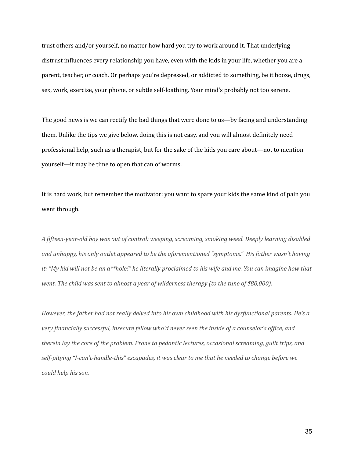trust others and/or yourself, no matter how hard you try to work around it. That underlying distrust influences every relationship you have, even with the kids in your life, whether you are a parent, teacher, or coach. Or perhaps you're depressed, or addicted to something, be it booze, drugs, sex, work, exercise, your phone, or subtle self-loathing. Your mind's probably not too serene.

The good news is we can rectify the bad things that were done to us—by facing and understanding them. Unlike the tips we give below, doing this is not easy, and you will almost definitely need professional help, such as a therapist, but for the sake of the kids you care about—not to mention yourself—it may be time to open that can of worms.

It is hard work, but remember the motivator: you want to spare your kids the same kind of pain you went through.

*A fifteen-year-old boy was out of control: weeping, screaming, smoking weed. Deeply learning disabled and unhappy, his only outlet appeared to be the aforementioned "symptoms." His father wasn't having* it: "My kid will not be an a\*\*hole!" he literally proclaimed to his wife and me. You can imagine how that *went. The child was sent to almost a year of wilderness therapy (to the tune of \$80,000).*

*However, the father had not really delved into his own childhood with his dysfunctional parents. He's a very financially successful, insecure fellow who'd never seen the inside of a counselor's of ice, and therein lay the core of the problem. Prone to pedantic lectures, occasional screaming, guilt trips, and self-pitying "I-can't-handle-this" escapades, it was clear to me that he needed to change before we could help his son.*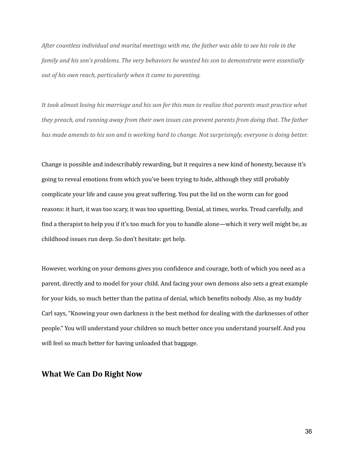After countless individual and marital meetings with me, the father was able to see his role in the *family and his son's problems. The very behaviors he wanted his son to demonstrate were essentially out of his own reach, particularly when it came to parenting.*

It took almost losing his marriage and his son for this man to realize that parents must practice what *they preach, and running away from their own issues can prevent parents from doing that. The father* has made amends to his son and is working hard to change. Not surprisingly, everyone is doing better.

Change is possible and indescribably rewarding, but it requires a new kind of honesty, because it's going to reveal emotions from which you've been trying to hide, although they still probably complicate your life and cause you great suffering. You put the lid on the worm can for good reasons: it hurt, it was too scary, it was too upsetting. Denial, at times, works. Tread carefully, and find a therapist to help you if it's too much for you to handle alone—which it very well might be, as childhood issues run deep. So don't hesitate: get help.

However, working on your demons gives you confidence and courage, both of which you need as a parent, directly and to model for your child. And facing your own demons also sets a great example for your kids, so much better than the patina of denial, which benefits nobody. Also, as my buddy Carl says, "Knowing your own darkness is the best method for dealing with the darknesses of other people." You will understand your children so much better once you understand yourself. And you will feel so much better for having unloaded that baggage.

#### **What We Can Do Right Now**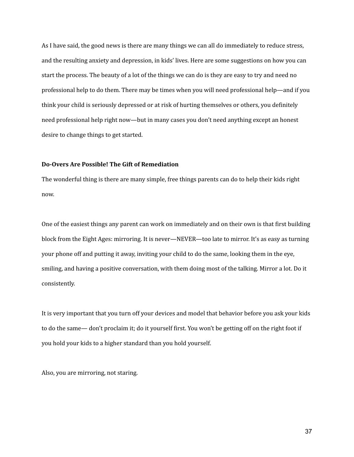As I have said, the good news is there are many things we can all do immediately to reduce stress, and the resulting anxiety and depression, in kids' lives. Here are some suggestions on how you can start the process. The beauty of a lot of the things we can do is they are easy to try and need no professional help to do them. There may be times when you will need professional help—and if you think your child is seriously depressed or at risk of hurting themselves or others, you definitely need professional help right now—but in many cases you don't need anything except an honest desire to change things to get started.

#### **Do-Overs Are Possible! The Gift of Remediation**

The wonderful thing is there are many simple, free things parents can do to help their kids right now.

One of the easiest things any parent can work on immediately and on their own is that first building block from the Eight Ages: mirroring. It is never—NEVER—too late to mirror. It's as easy as turning your phone off and putting it away, inviting your child to do the same, looking them in the eye, smiling, and having a positive conversation, with them doing most of the talking. Mirror a lot. Do it consistently.

It is very important that you turn off your devices and model that behavior before you ask your kids to do the same— don't proclaim it; do it yourself first. You won't be getting off on the right foot if you hold your kids to a higher standard than you hold yourself.

Also, you are mirroring, not staring.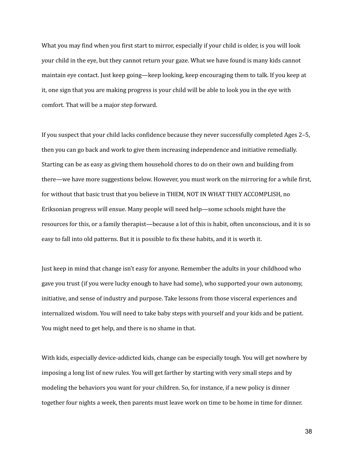What you may find when you first start to mirror, especially if your child is older, is you will look your child in the eye, but they cannot return your gaze. What we have found is many kids cannot maintain eye contact. Just keep going—keep looking, keep encouraging them to talk. If you keep at it, one sign that you are making progress is your child will be able to look you in the eye with comfort. That will be a major step forward.

If you suspect that your child lacks confidence because they never successfully completed Ages 2–5, then you can go back and work to give them increasing independence and initiative remedially. Starting can be as easy as giving them household chores to do on their own and building from there—we have more suggestions below. However, you must work on the mirroring for a while first, for without that basic trust that you believe in THEM, NOT IN WHAT THEY ACCOMPLISH, no Eriksonian progress will ensue. Many people will need help—some schools might have the resources for this, or a family therapist—because a lot of this is habit, often unconscious, and it is so easy to fall into old patterns. But it is possible to fix these habits, and it is worth it.

Just keep in mind that change isn't easy for anyone. Remember the adults in your childhood who gave you trust (if you were lucky enough to have had some), who supported your own autonomy, initiative, and sense of industry and purpose. Take lessons from those visceral experiences and internalized wisdom. You will need to take baby steps with yourself and your kids and be patient. You might need to get help, and there is no shame in that.

With kids, especially device-addicted kids, change can be especially tough. You will get nowhere by imposing a long list of new rules. You will get farther by starting with very small steps and by modeling the behaviors you want for your children. So, for instance, if a new policy is dinner together four nights a week, then parents must leave work on time to be home in time for dinner.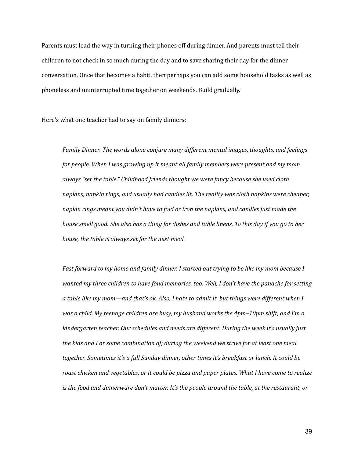Parents must lead the way in turning their phones off during dinner. And parents must tell their children to not check in so much during the day and to save sharing their day for the dinner conversation. Once that becomes a habit, then perhaps you can add some household tasks as well as phoneless and uninterrupted time together on weekends. Build gradually.

Here's what one teacher had to say on family dinners:

*Family Dinner. The words alone conjure many dif erent mental images, thoughts, and feelings for people. When I was growing up it meant all family members were present and my mom always "set the table." Childhood friends thought we were fancy because she used cloth napkins, napkin rings, and usually had candles lit. The reality was cloth napkins were cheaper, napkin rings meant you didn't have to fold or iron the napkins, and candles just made the* house smell good. She also has a thing for dishes and table linens. To this day if you go to her *house, the table is always set for the next meal.*

*Fast forward to my home and family dinner. I started out trying to be like my mom because I wanted my three children to have fond memories, too. Well, I don't have the panache for setting* a table like my mom—and that's ok. Also, I hate to admit it, but things were different when I *was a child. My teenage children are busy, my husband works the 4pm–10pm shift, and I'm a kindergarten teacher. Our schedules and needs are dif erent. During the week it's usually just the kids and I or some combination of; during the weekend we strive for at least one meal together. Sometimes it's a full Sunday dinner, other times it's breakfast or lunch. It could be roast chicken and vegetables, or it could be pizza and paper plates. What I have come to realize is the food and dinnerware don't matter. It's the people around the table, at the restaurant, or*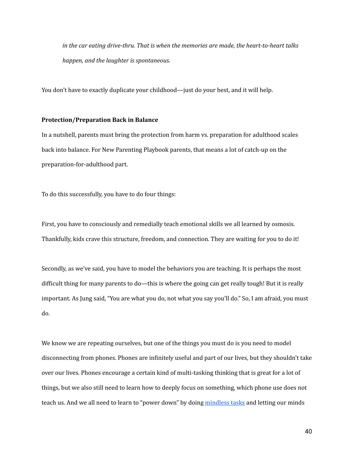*in the car eating drive-thru. That is when the memories are made, the heart-to-heart talks happen, and the laughter is spontaneous.*

You don't have to exactly duplicate your childhood—just do your best, and it will help.

#### **Protection/Preparation Back in Balance**

In a nutshell, parents must bring the protection from harm vs. preparation for adulthood scales back into balance. For New Parenting Playbook parents, that means a lot of catch-up on the preparation-for-adulthood part.

To do this successfully, you have to do four things:

First, you have to consciously and remedially teach emotional skills we all learned by osmosis. Thankfully, kids crave this structure, freedom, and connection. They are waiting for you to do it!

Secondly, as we've said, you have to model the behaviors you are teaching. It is perhaps the most difficult thing for many parents to do—this is where the going can get really tough! But it is really important. As Jung said, "You are what you do, not what you say you'll do." So, I am afraid, you must do.

We know we are repeating ourselves, but one of the things you must do is you need to model disconnecting from phones. Phones are infinitely useful and part of our lives, but they shouldn't take over our lives. Phones encourage a certain kind of multi-tasking thinking that is great for a lot of things, but we also still need to learn how to deeply focus on something, which phone use does not teach us. And we all need to learn to "power down" by doing [mindless](https://www.jefflevincoaching.com/beauty-mindless-tasks/) tasks and letting our minds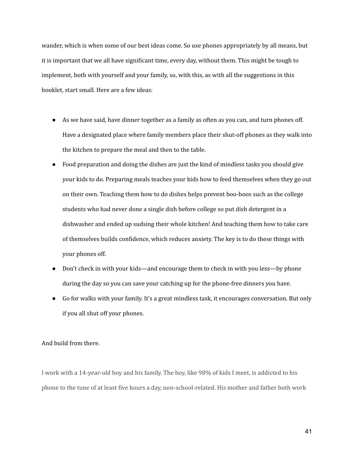wander, which is when some of our best ideas come. So use phones appropriately by all means, but it is important that we all have significant time, every day, without them. This might be tough to implement, both with yourself and your family, so, with this, as with all the suggestions in this booklet, start small. Here are a few ideas:

- As we have said, have dinner together as a family as often as you can, and turn phones off. Have a designated place where family members place their shut-off phones as they walk into the kitchen to prepare the meal and then to the table.
- Food preparation and doing the dishes are just the kind of mindless tasks you should give your kids to do. Preparing meals teaches your kids how to feed themselves when they go out on their own. Teaching them how to do dishes helps prevent boo-boos such as the college students who had never done a single dish before college so put dish detergent in a dishwasher and ended up sudsing their whole kitchen! And teaching them how to take care of themselves builds confidence, which reduces anxiety. The key is to do these things with your phones off.
- Don't check in with your kids—and encourage them to check in with you less—by phone during the day so you can save your catching up for the phone-free dinners you have.
- Go for walks with your family. It's a great mindless task, it encourages conversation. But only if you all shut off your phones.

#### And build from there.

I work with a 14-year-old boy and his family. The boy, like 98% of kids I meet, is addicted to his phone to the tune of at least five hours a day, non-school-related. His mother and father both work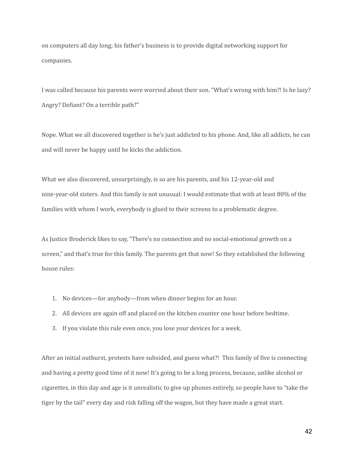on computers all day long; his father's business is to provide digital networking support for companies.

I was called because his parents were worried about their son. "What's wrong with him?! Is he lazy? Angry? Defiant? On a terrible path?"

Nope. What we all discovered together is he's just addicted to his phone. And, like all addicts, he can and will never be happy until he kicks the addiction.

What we also discovered, unsurprisingly, is so are his parents, and his 12-year-old and nine-year-old sisters. And this family is not unusual: I would estimate that with at least 80% of the families with whom I work, everybody is glued to their screens to a problematic degree.

As Justice Broderick likes to say, "There's no connection and no social-emotional growth on a screen," and that's true for this family. The parents get that now! So they established the following house rules:

- 1. No devices—for anybody—from when dinner begins for an hour.
- 2. All devices are again off and placed on the kitchen counter one hour before bedtime.
- 3. If you violate this rule even once, you lose your devices for a week.

After an initial outburst, protests have subsided, and guess what?! This family of five is connecting and having a pretty good time of it now! It's going to be a long process, because, unlike alcohol or cigarettes, in this day and age is it unrealistic to give up phones entirely, so people have to "take the tiger by the tail" every day and risk falling off the wagon, but they have made a great start.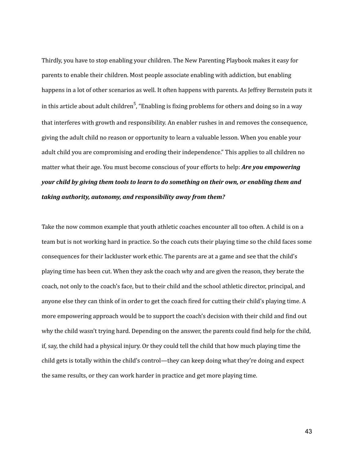Thirdly, you have to stop enabling your children. The New Parenting Playbook makes it easy for parents to enable their children. Most people associate enabling with addiction, but enabling happens in a lot of other scenarios as well. It often happens with parents. As Jeffrey Bernstein puts it in this article about adult children<sup>5</sup>, "Enabling is fixing problems for others and doing so in a way that interferes with growth and responsibility. An enabler rushes in and removes the consequence, giving the adult child no reason or opportunity to learn a valuable lesson. When you enable your adult child you are compromising and eroding their independence." This applies to all children no matter what their age. You must become conscious of your efforts to help: *Are you empowering your child by giving them tools to learn to do something on their own, or enabling them and taking authority, autonomy, and responsibility away from them?*

Take the now common example that youth athletic coaches encounter all too often. A child is on a team but is not working hard in practice. So the coach cuts their playing time so the child faces some consequences for their lackluster work ethic. The parents are at a game and see that the child's playing time has been cut. When they ask the coach why and are given the reason, they berate the coach, not only to the coach's face, but to their child and the school athletic director, principal, and anyone else they can think of in order to get the coach fired for cutting their child's playing time. A more empowering approach would be to support the coach's decision with their child and find out why the child wasn't trying hard. Depending on the answer, the parents could find help for the child, if, say, the child had a physical injury. Or they could tell the child that how much playing time the child gets is totally within the child's control—they can keep doing what they're doing and expect the same results, or they can work harder in practice and get more playing time.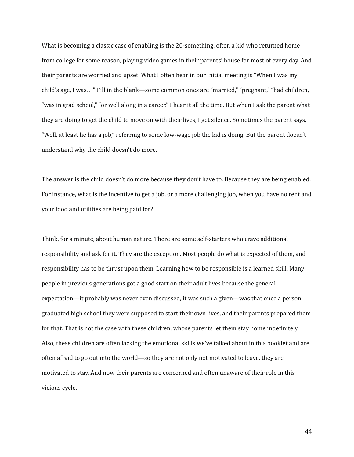What is becoming a classic case of enabling is the 20-something, often a kid who returned home from college for some reason, playing video games in their parents' house for most of every day. And their parents are worried and upset. What I often hear in our initial meeting is "When I was my child's age, I was…" Fill in the blank—some common ones are "married," "pregnant," "had children," "was in grad school," "or well along in a career." I hear it all the time. But when I ask the parent what they are doing to get the child to move on with their lives, I get silence. Sometimes the parent says, "Well, at least he has a job," referring to some low-wage job the kid is doing. But the parent doesn't understand why the child doesn't do more.

The answer is the child doesn't do more because they don't have to. Because they are being enabled. For instance, what is the incentive to get a job, or a more challenging job, when you have no rent and your food and utilities are being paid for?

Think, for a minute, about human nature. There are some self-starters who crave additional responsibility and ask for it. They are the exception. Most people do what is expected of them, and responsibility has to be thrust upon them. Learning how to be responsible is a learned skill. Many people in previous generations got a good start on their adult lives because the general expectation—it probably was never even discussed, it was such a given—was that once a person graduated high school they were supposed to start their own lives, and their parents prepared them for that. That is not the case with these children, whose parents let them stay home indefinitely. Also, these children are often lacking the emotional skills we've talked about in this booklet and are often afraid to go out into the world—so they are not only not motivated to leave, they are motivated to stay. And now their parents are concerned and often unaware of their role in this vicious cycle.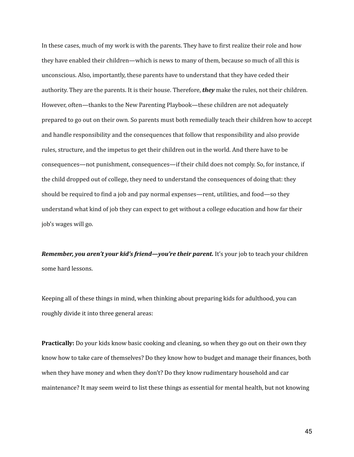In these cases, much of my work is with the parents. They have to first realize their role and how they have enabled their children—which is news to many of them, because so much of all this is unconscious. Also, importantly, these parents have to understand that they have ceded their authority. They are the parents. It is their house. Therefore, *they* make the rules, not their children. However, often—thanks to the New Parenting Playbook—these children are not adequately prepared to go out on their own. So parents must both remedially teach their children how to accept and handle responsibility and the consequences that follow that responsibility and also provide rules, structure, and the impetus to get their children out in the world. And there have to be consequences—not punishment, consequences—if their child does not comply. So, for instance, if the child dropped out of college, they need to understand the consequences of doing that: they should be required to find a job and pay normal expenses—rent, utilities, and food—so they understand what kind of job they can expect to get without a college education and how far their job's wages will go.

*Remember, you aren't your kid's friend—you're their parent.* It's your job to teach your children some hard lessons.

Keeping all of these things in mind, when thinking about preparing kids for adulthood, you can roughly divide it into three general areas:

**Practically:** Do your kids know basic cooking and cleaning, so when they go out on their own they know how to take care of themselves? Do they know how to budget and manage their finances, both when they have money and when they don't? Do they know rudimentary household and car maintenance? It may seem weird to list these things as essential for mental health, but not knowing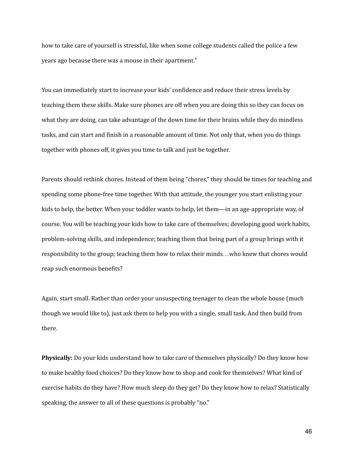how to take care of yourself is stressful, like when some college students called the police a few years ago because there was a mouse in their apartment. $^6$ 

You can immediately start to increase your kids' confidence and reduce their stress levels by teaching them these skills. Make sure phones are off when you are doing this so they can focus on what they are doing, can take advantage of the down time for their brains while they do mindless tasks, and can start and finish in a reasonable amount of time. Not only that, when you do things together with phones off, it gives you time to talk and just be together.

Parents should rethink chores. Instead of them being "chores," they should be times for teaching and spending some phone-free time together. With that attitude, the younger you start enlisting your kids to help, the better. When your toddler wants to help, let them—in an age-appropriate way, of course. You will be teaching your kids how to take care of themselves; developing good work habits, problem-solving skills, and independence; teaching them that being part of a group brings with it responsibility to the group; teaching them how to relax their minds…who knew that chores would reap such enormous benefits?

Again, start small. Rather than order your unsuspecting teenager to clean the whole house (much though we would like to), just ask them to help you with a single, small task. And then build from there.

**Physically:** Do your kids understand how to take care of themselves physically? Do they know how to make healthy food choices? Do they know how to shop and cook for themselves? What kind of exercise habits do they have? How much sleep do they get? Do they know how to relax? Statistically speaking, the answer to all of these questions is probably "no."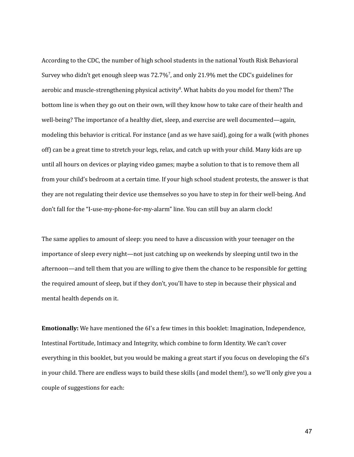According to the CDC, the number of high school students in the national Youth Risk Behavioral Survey who didn't get enough sleep was 72.7%<sup>7</sup>, and only 21.9% met the CDC's guidelines for aerobic and muscle-strengthening physical activity<sup>8</sup>. What habits do you model for them? The bottom line is when they go out on their own, will they know how to take care of their health and well-being? The importance of a healthy diet, sleep, and exercise are well documented—again, modeling this behavior is critical. For instance (and as we have said), going for a walk (with phones off) can be a great time to stretch your legs, relax, and catch up with your child. Many kids are up until all hours on devices or playing video games; maybe a solution to that is to remove them all from your child's bedroom at a certain time. If your high school student protests, the answer is that they are not regulating their device use themselves so you have to step in for their well-being. And don't fall for the "I-use-my-phone-for-my-alarm" line. You can still buy an alarm clock!

The same applies to amount of sleep: you need to have a discussion with your teenager on the importance of sleep every night—not just catching up on weekends by sleeping until two in the afternoon—and tell them that you are willing to give them the chance to be responsible for getting the required amount of sleep, but if they don't, you'll have to step in because their physical and mental health depends on it.

**Emotionally:** We have mentioned the 6I's a few times in this booklet: Imagination, Independence, Intestinal Fortitude, Intimacy and Integrity, which combine to form Identity. We can't cover everything in this booklet, but you would be making a great start if you focus on developing the 6I's in your child. There are endless ways to build these skills (and model them!), so we'll only give you a couple of suggestions for each: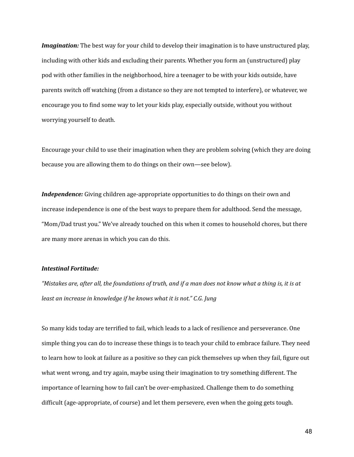*Imagination:* The best way for your child to develop their imagination is to have unstructured play, including with other kids and excluding their parents. Whether you form an (unstructured) play pod with other families in the neighborhood, hire a teenager to be with your kids outside, have parents switch off watching (from a distance so they are not tempted to interfere), or whatever, we encourage you to find some way to let your kids play, especially outside, without you without worrying yourself to death.

Encourage your child to use their imagination when they are problem solving (which they are doing because you are allowing them to do things on their own—see below).

*Independence:* Giving children age-appropriate opportunities to do things on their own and increase independence is one of the best ways to prepare them for adulthood. Send the message, "Mom/Dad trust you." We've already touched on this when it comes to household chores, but there are many more arenas in which you can do this.

#### *Intestinal Fortitude:*

"Mistakes are, after all, the foundations of truth, and if a man does not know what a thing is, it is at *least an increase in knowledge if he knows what it is not." C.G. Jung*

So many kids today are terrified to fail, which leads to a lack of resilience and perseverance. One simple thing you can do to increase these things is to teach your child to embrace failure. They need to learn how to look at failure as a positive so they can pick themselves up when they fail, figure out what went wrong, and try again, maybe using their imagination to try something different. The importance of learning how to fail can't be over-emphasized. Challenge them to do something difficult (age-appropriate, of course) and let them persevere, even when the going gets tough.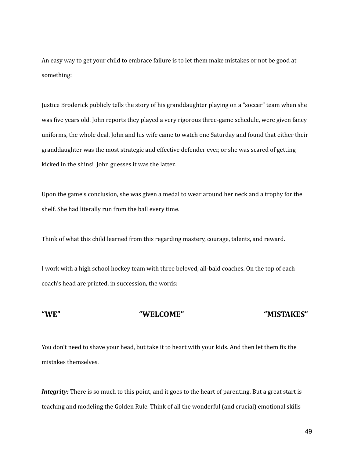An easy way to get your child to embrace failure is to let them make mistakes or not be good at something:

Justice Broderick publicly tells the story of his granddaughter playing on a "soccer" team when she was five years old. John reports they played a very rigorous three-game schedule, were given fancy uniforms, the whole deal. John and his wife came to watch one Saturday and found that either their granddaughter was the most strategic and effective defender ever, or she was scared of getting kicked in the shins! John guesses it was the latter.

Upon the game's conclusion, she was given a medal to wear around her neck and a trophy for the shelf. She had literally run from the ball every time.

Think of what this child learned from this regarding mastery, courage, talents, and reward.

I work with a high school hockey team with three beloved, all-bald coaches. On the top of each coach's head are printed, in succession, the words:

#### **"WE" "WELCOME" "MISTAKES"**

You don't need to shave your head, but take it to heart with your kids. And then let them fix the mistakes themselves.

*Integrity:* There is so much to this point, and it goes to the heart of parenting. But a great start is teaching and modeling the Golden Rule. Think of all the wonderful (and crucial) emotional skills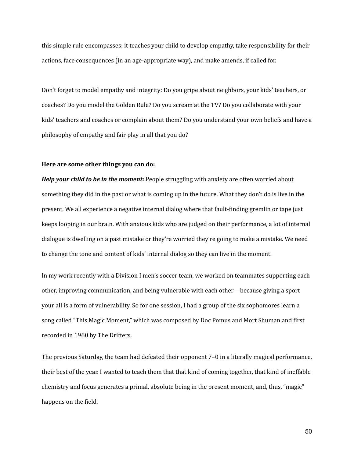this simple rule encompasses: it teaches your child to develop empathy, take responsibility for their actions, face consequences (in an age-appropriate way), and make amends, if called for.

Don't forget to model empathy and integrity: Do you gripe about neighbors, your kids' teachers, or coaches? Do you model the Golden Rule? Do you scream at the TV? Do you collaborate with your kids' teachers and coaches or complain about them? Do you understand your own beliefs and have a philosophy of empathy and fair play in all that you do?

#### **Here are some other things you can do:**

*Help your child to be in the moment:* People struggling with anxiety are often worried about something they did in the past or what is coming up in the future. What they don't do is live in the present. We all experience a negative internal dialog where that fault-finding gremlin or tape just keeps looping in our brain. With anxious kids who are judged on their performance, a lot of internal dialogue is dwelling on a past mistake or they're worried they're going to make a mistake. We need to change the tone and content of kids' internal dialog so they can live in the moment.

In my work recently with a Division I men's soccer team, we worked on teammates supporting each other, improving communication, and being vulnerable with each other—because giving a sport your all is a form of vulnerability. So for one session, I had a group of the six sophomores learn a song called "This Magic Moment," which was composed by Doc Pomus and Mort Shuman and first recorded in 1960 by The Drifters.

The previous Saturday, the team had defeated their opponent 7–0 in a literally magical performance, their best of the year. I wanted to teach them that that kind of coming together, that kind of ineffable chemistry and focus generates a primal, absolute being in the present moment, and, thus, "magic" happens on the field.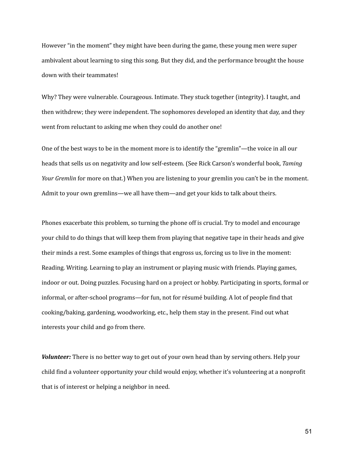However "in the moment" they might have been during the game, these young men were super ambivalent about learning to sing this song. But they did, and the performance brought the house down with their teammates!

Why? They were vulnerable. Courageous. Intimate. They stuck together (integrity). I taught, and then withdrew; they were independent. The sophomores developed an identity that day, and they went from reluctant to asking me when they could do another one!

One of the best ways to be in the moment more is to identify the "gremlin"—the voice in all our heads that sells us on negativity and low self-esteem. (See Rick Carson's wonderful book, *Taming Your Gremlin* for more on that.) When you are listening to your gremlin you can't be in the moment. Admit to your own gremlins—we all have them—and get your kids to talk about theirs.

Phones exacerbate this problem, so turning the phone off is crucial. Try to model and encourage your child to do things that will keep them from playing that negative tape in their heads and give their minds a rest. Some examples of things that engross us, forcing us to live in the moment: Reading. Writing. Learning to play an instrument or playing music with friends. Playing games, indoor or out. Doing puzzles. Focusing hard on a project or hobby. Participating in sports, formal or informal, or after-school programs—for fun, not for résumé building. A lot of people find that cooking/baking, gardening, woodworking, etc., help them stay in the present. Find out what interests your child and go from there.

*Volunteer:* There is no better way to get out of your own head than by serving others. Help your child find a volunteer opportunity your child would enjoy, whether it's volunteering at a nonprofit that is of interest or helping a neighbor in need.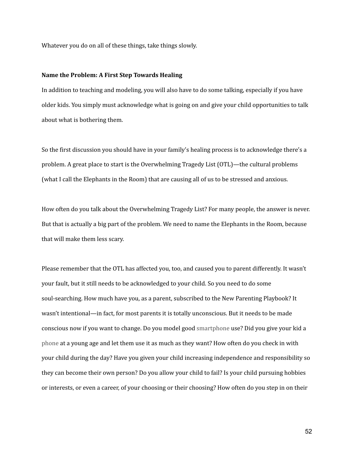Whatever you do on all of these things, take things slowly.

#### **Name the Problem: A First Step Towards Healing**

In addition to teaching and modeling, you will also have to do some talking, especially if you have older kids. You simply must acknowledge what is going on and give your child opportunities to talk about what is bothering them.

So the first discussion you should have in your family's healing process is to acknowledge there's a problem. A great place to start is the Overwhelming Tragedy List (OTL)—the cultural problems (what I call the Elephants in the Room) that are causing all of us to be stressed and anxious.

How often do you talk about the Overwhelming Tragedy List? For many people, the answer is never. But that is actually a big part of the problem. We need to name the Elephants in the Room, because that will make them less scary.

Please remember that the OTL has affected you, too, and caused you to parent differently. It wasn't your fault, but it still needs to be acknowledged to your child. So you need to do some soul-searching. How much have you, as a parent, subscribed to the New Parenting Playbook? It wasn't intentional—in fact, for most parents it is totally unconscious. But it needs to be made conscious now if you want to change. Do you model good smartphone use? Did you give your kid a phone at a young age and let them use it as much as they want? How often do you check in with your child during the day? Have you given your child increasing independence and responsibility so they can become their own person? Do you allow your child to fail? Is your child pursuing hobbies or interests, or even a career, of your choosing or their choosing? How often do you step in on their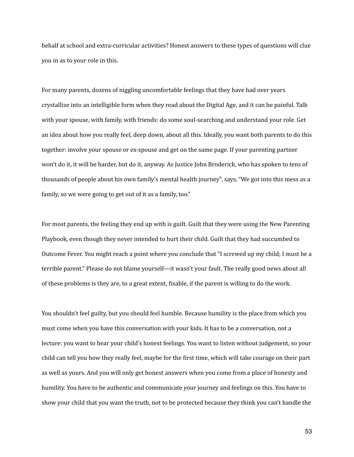behalf at school and extra-curricular activities? Honest answers to these types of questions will clue you in as to your role in this.

For many parents, dozens of niggling uncomfortable feelings that they have had over years crystallize into an intelligible form when they read about the Digital Age, and it can be painful. Talk with your spouse, with family, with friends: do some soul-searching and understand your role. Get an idea about how you really feel, deep down, about all this. Ideally, you want both parents to do this together: involve your spouse or ex-spouse and get on the same page. If your parenting partner won't do it, it will be harder, but do it, anyway. As Justice John Broderick, who has spoken to tens of thousands of people about his own family's mental health journey 9 , says, "We got into this mess as a family, so we were going to get out of it as a family, too."

For most parents, the feeling they end up with is guilt. Guilt that they were using the New Parenting Playbook, even though they never intended to hurt their child. Guilt that they had succumbed to Outcome Fever. You might reach a point where you conclude that "I screwed up my child; I must be a terrible parent." Please do not blame yourself—it wasn't your fault. The really good news about all of these problems is they are, to a great extent, fixable, if the parent is willing to do the work.

You shouldn't feel guilty, but you should feel humble. Because humility is the place from which you must come when you have this conversation with your kids. It has to be a conversation, not a lecture: you want to hear your child's honest feelings. You want to listen without judgement, so your child can tell you how they really feel, maybe for the first time, which will take courage on their part as well as yours. And you will only get honest answers when you come from a place of honesty and humility. You have to be authentic and communicate your journey and feelings on this. You have to show your child that you want the truth, not to be protected because they think you can't handle the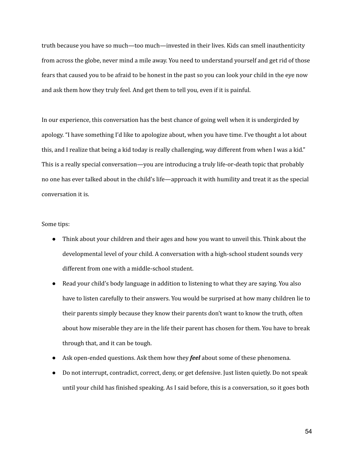truth because you have so much—too much—invested in their lives. Kids can smell inauthenticity from across the globe, never mind a mile away. You need to understand yourself and get rid of those fears that caused you to be afraid to be honest in the past so you can look your child in the eye now and ask them how they truly feel. And get them to tell you, even if it is painful.

In our experience, this conversation has the best chance of going well when it is undergirded by apology. "I have something I'd like to apologize about, when you have time. I've thought a lot about this, and I realize that being a kid today is really challenging, way different from when I was a kid." This is a really special conversation—you are introducing a truly life-or-death topic that probably no one has ever talked about in the child's life—approach it with humility and treat it as the special conversation it is.

#### Some tips:

- Think about your children and their ages and how you want to unveil this. Think about the developmental level of your child. A conversation with a high-school student sounds very different from one with a middle-school student.
- Read your child's body language in addition to listening to what they are saying. You also have to listen carefully to their answers. You would be surprised at how many children lie to their parents simply because they know their parents don't want to know the truth, often about how miserable they are in the life their parent has chosen for them. You have to break through that, and it can be tough.
- Ask open-ended questions. Ask them how they *feel* about some of these phenomena.
- Do not interrupt, contradict, correct, deny, or get defensive. Just listen quietly. Do not speak until your child has finished speaking. As I said before, this is a conversation, so it goes both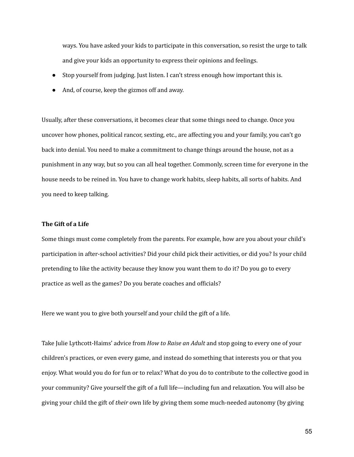ways. You have asked your kids to participate in this conversation, so resist the urge to talk and give your kids an opportunity to express their opinions and feelings.

- Stop yourself from judging. Just listen. I can't stress enough how important this is.
- And, of course, keep the gizmos off and away.

Usually, after these conversations, it becomes clear that some things need to change. Once you uncover how phones, political rancor, sexting, etc., are affecting you and your family, you can't go back into denial. You need to make a commitment to change things around the house, not as a punishment in any way, but so you can all heal together. Commonly, screen time for everyone in the house needs to be reined in. You have to change work habits, sleep habits, all sorts of habits. And you need to keep talking.

#### **The Gift of a Life**

Some things must come completely from the parents. For example, how are you about your child's participation in after-school activities? Did your child pick their activities, or did you? Is your child pretending to like the activity because they know you want them to do it? Do you go to every practice as well as the games? Do you berate coaches and officials?

Here we want you to give both yourself and your child the gift of a life.

Take Julie Lythcott-Haims' advice from *How to Raise an Adult* and stop going to every one of your children's practices, or even every game, and instead do something that interests you or that you enjoy. What would you do for fun or to relax? What do you do to contribute to the collective good in your community? Give yourself the gift of a full life—including fun and relaxation. You will also be giving your child the gift of *their* own life by giving them some much-needed autonomy (by giving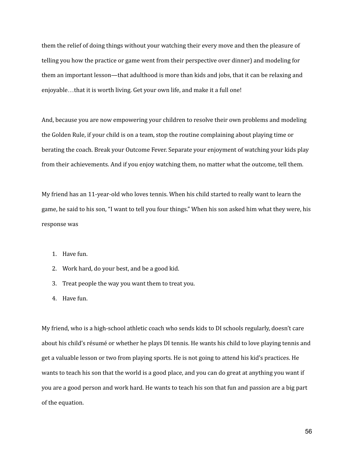them the relief of doing things without your watching their every move and then the pleasure of telling you how the practice or game went from their perspective over dinner) and modeling for them an important lesson—that adulthood is more than kids and jobs, that it can be relaxing and enjoyable…that it is worth living. Get your own life, and make it a full one!

And, because you are now empowering your children to resolve their own problems and modeling the Golden Rule, if your child is on a team, stop the routine complaining about playing time or berating the coach. Break your Outcome Fever. Separate your enjoyment of watching your kids play from their achievements. And if you enjoy watching them, no matter what the outcome, tell them.

My friend has an 11-year-old who loves tennis. When his child started to really want to learn the game, he said to his son, "I want to tell you four things." When his son asked him what they were, his response was

- 1. Have fun.
- 2. Work hard, do your best, and be a good kid.
- 3. Treat people the way you want them to treat you.
- 4. Have fun.

My friend, who is a high-school athletic coach who sends kids to DI schools regularly, doesn't care about his child's résumé or whether he plays DI tennis. He wants his child to love playing tennis and get a valuable lesson or two from playing sports. He is not going to attend his kid's practices. He wants to teach his son that the world is a good place, and you can do great at anything you want if you are a good person and work hard. He wants to teach his son that fun and passion are a big part of the equation.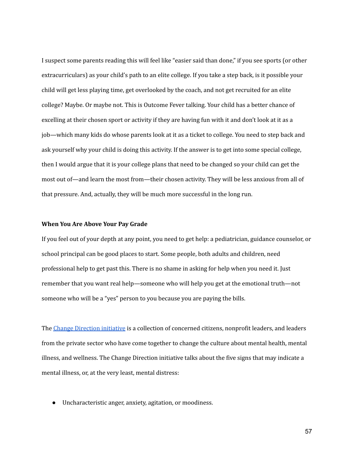I suspect some parents reading this will feel like "easier said than done," if you see sports (or other extracurriculars) as your child's path to an elite college. If you take a step back, is it possible your child will get less playing time, get overlooked by the coach, and not get recruited for an elite college? Maybe. Or maybe not. This is Outcome Fever talking. Your child has a better chance of excelling at their chosen sport or activity if they are having fun with it and don't look at it as a job—which many kids do whose parents look at it as a ticket to college. You need to step back and ask yourself why your child is doing this activity. If the answer is to get into some special college, then I would argue that it is your college plans that need to be changed so your child can get the most out of—and learn the most from—their chosen activity. They will be less anxious from all of that pressure. And, actually, they will be much more successful in the long run.

#### **When You Are Above Your Pay Grade**

If you feel out of your depth at any point, you need to get help: a pediatrician, guidance counselor, or school principal can be good places to start. Some people, both adults and children, need professional help to get past this. There is no shame in asking for help when you need it. Just remember that you want real help—someone who will help you get at the emotional truth—not someone who will be a "yes" person to you because you are paying the bills.

The Change [Direction](http://changedirection.org) initiative is a collection of concerned citizens, nonprofit leaders, and leaders from the private sector who have come together to change the culture about mental health, mental illness, and wellness. The Change Direction initiative talks about the five signs that may indicate a mental illness, or, at the very least, mental distress:

● Uncharacteristic anger, anxiety, agitation, or moodiness.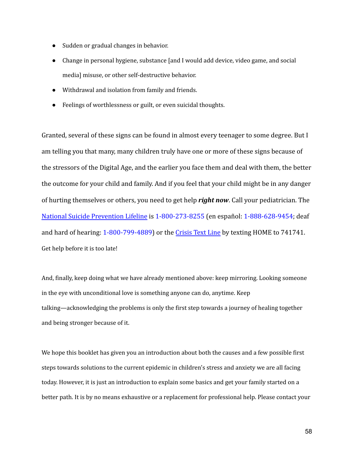- Sudden or gradual changes in behavior.
- Change in personal hygiene, substance [and I would add device, video game, and social media] misuse, or other self-destructive behavior.
- Withdrawal and isolation from family and friends.
- Feelings of worthlessness or guilt, or even suicidal thoughts.

Granted, several of these signs can be found in almost every teenager to some degree. But I am telling you that many, many children truly have one or more of these signs because of the stressors of the Digital Age, and the earlier you face them and deal with them, the better the outcome for your child and family. And if you feel that your child might be in any danger of hurting themselves or others, you need to get help *right now*. Call your pediatrician. The [National Suicide Prevention Lifeline](http://suicidepreventionlifeline.org/) is 1-800-273-8255 (en español: 1-888-628-9454; deaf and hard of hearing: 1-800-799-4889) or the Crisis [Text Line](http://www.crisistextline.org/) by texting HOME to 741741. Get help before it is too late!

And, finally, keep doing what we have already mentioned above: keep mirroring. Looking someone in the eye with unconditional love is something anyone can do, anytime. Keep talking—acknowledging the problems is only the first step towards a journey of healing together and being stronger because of it.

We hope this booklet has given you an introduction about both the causes and a few possible first steps towards solutions to the current epidemic in children's stress and anxiety we are all facing today. However, it is just an introduction to explain some basics and get your family started on a better path. It is by no means exhaustive or a replacement for professional help. Please contact your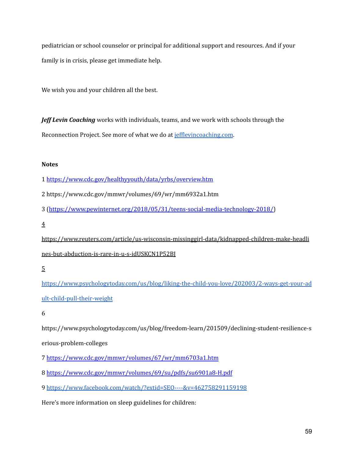pediatrician or school counselor or principal for additional support and resources. And if your family is in crisis, please get immediate help.

We wish you and your children all the best.

*Jeff Levin Coaching* works with individuals, teams, and we work with schools through the Reconnection Project. See more of what we do at [jefflevincoaching.com](https://www.jefflevincoaching.com/).

#### **Notes**

- 1 https://www.cdc.gov/healthyyouth/data/yrbs/overview.htm
- 2 https://www.cdc.gov/mmwr/volumes/69/wr/mm6932a1.htm
- 3 (https://www.pewinternet.org/2018/05/31/teens-social-media-technology-2018/)
- 4

https://www.reuters.com/article/us-wisconsin-missinggirl-data/kidnapped-children-make-headli nes-but-abduction-is-rare-in-u-s-idUSKCN1P52BJ

[https://www.psychologytoday.com/us/blog/liking-the-child-you-love/202003/2-ways-get-your-ad](https://www.psychologytoday.com/us/blog/liking-the-child-you-love/202003/2-ways-get-your-adult-child-pull-their-weight) [ult-child-pull-their-weight](https://www.psychologytoday.com/us/blog/liking-the-child-you-love/202003/2-ways-get-your-adult-child-pull-their-weight)

6

https://www.psychologytoday.com/us/blog/freedom-learn/201509/declining-student-resilience-s erious-problem-colleges

7 https://www.cdc.gov/mmwr/volumes/67/wr/mm6703a1.htm

8 https://www.cdc.gov/mmwr/volumes/69/su/pdfs/su6901a8-H.pdf

9 <https://www.facebook.com/watch/?extid=SEO----&v=462758291159198>

Here's more information on sleep guidelines for children:

<sup>5</sup>